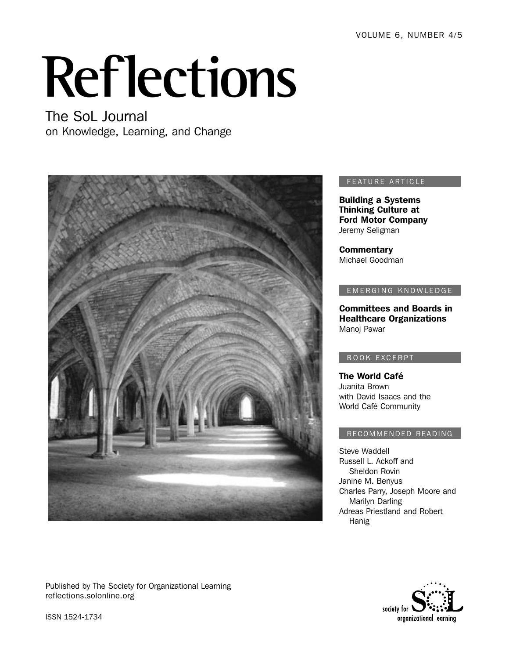VOLUME 6, NUMBER 4/5

# **Reflections**

# The SoL Journal on Knowledge, Learning, and Change



#### FEATURE ARTICLE

Building a Systems Thinking Culture at Ford Motor Company Jeremy Seligman

**Commentary** Michael Goodman

#### EMERGING KNOWLEDGE

Committees and Boards in Healthcare Organizations Manoj Pawar

#### BOOK EXCERPT

The World Café Juanita Brown with David Isaacs and the World Café Community

#### RECOMMENDED READING

Steve Waddell Russell L. Ackoff and Sheldon Rovin Janine M. Benyus Charles Parry, Joseph Moore and Marilyn Darling Adreas Priestland and Robert **Hanig** 



Published by The Society for Organizational Learning reflections.solonline.org

ISSN 1524-1734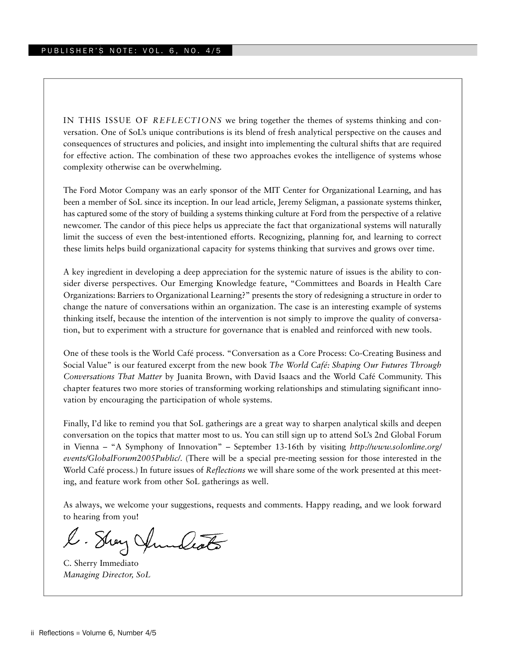IN THIS ISSUE OF *REFLECTIONS* we bring together the themes of systems thinking and conversation. One of SoL's unique contributions is its blend of fresh analytical perspective on the causes and consequences of structures and policies, and insight into implementing the cultural shifts that are required for effective action. The combination of these two approaches evokes the intelligence of systems whose complexity otherwise can be overwhelming.

The Ford Motor Company was an early sponsor of the MIT Center for Organizational Learning, and has been a member of SoL since its inception. In our lead article, Jeremy Seligman, a passionate systems thinker, has captured some of the story of building a systems thinking culture at Ford from the perspective of a relative newcomer. The candor of this piece helps us appreciate the fact that organizational systems will naturally limit the success of even the best-intentioned efforts. Recognizing, planning for, and learning to correct these limits helps build organizational capacity for systems thinking that survives and grows over time.

A key ingredient in developing a deep appreciation for the systemic nature of issues is the ability to consider diverse perspectives. Our Emerging Knowledge feature, "Committees and Boards in Health Care Organizations: Barriers to Organizational Learning?" presents the story of redesigning a structure in order to change the nature of conversations within an organization. The case is an interesting example of systems thinking itself, because the intention of the intervention is not simply to improve the quality of conversation, but to experiment with a structure for governance that is enabled and reinforced with new tools.

One of these tools is the World Café process. "Conversation as a Core Process: Co-Creating Business and Social Value" is our featured excerpt from the new book *The World Café: Shaping Our Futures Through Conversations That Matter* by Juanita Brown, with David Isaacs and the World Café Community. This chapter features two more stories of transforming working relationships and stimulating significant innovation by encouraging the participation of whole systems.

Finally, I'd like to remind you that SoL gatherings are a great way to sharpen analytical skills and deepen conversation on the topics that matter most to us. You can still sign up to attend SoL's 2nd Global Forum in Vienna – "A Symphony of Innovation" – September 13-16th by visiting *http://www.solonline.org/ events/GlobalForum2005Public/.* (There will be a special pre-meeting session for those interested in the World Café process.) In future issues of *Reflections* we will share some of the work presented at this meeting, and feature work from other SoL gatherings as well.

As always, we welcome your suggestions, requests and comments. Happy reading, and we look forward to hearing from you!

l. Shey Aundeats

C. Sherry Immediato *Managing Director, SoL*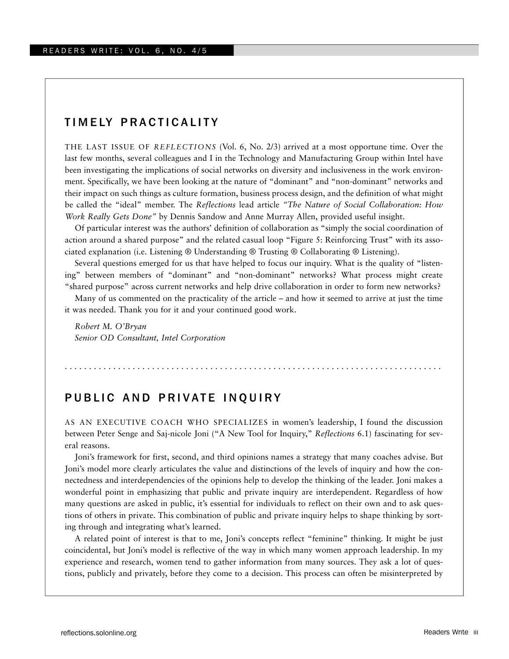# TIMELY PRACTICALITY

THE LAST ISSUE OF *REFLECTIONS* (Vol. 6, No. 2/3) arrived at a most opportune time. Over the last few months, several colleagues and I in the Technology and Manufacturing Group within Intel have been investigating the implications of social networks on diversity and inclusiveness in the work environment. Specifically, we have been looking at the nature of "dominant" and "non-dominant" networks and their impact on such things as culture formation, business process design, and the definition of what might be called the "ideal" member. The *Reflections* lead article *"The Nature of Social Collaboration: How Work Really Gets Done"* by Dennis Sandow and Anne Murray Allen, provided useful insight.

Of particular interest was the authors' definition of collaboration as "simply the social coordination of action around a shared purpose" and the related casual loop "Figure 5: Reinforcing Trust" with its associated explanation (i.e. Listening ® Understanding ® Trusting ® Collaborating ® Listening).

Several questions emerged for us that have helped to focus our inquiry. What is the quality of "listening" between members of "dominant" and "non-dominant" networks? What process might create "shared purpose" across current networks and help drive collaboration in order to form new networks?

Many of us commented on the practicality of the article – and how it seemed to arrive at just the time it was needed. Thank you for it and your continued good work.

. . . . . . . . . . . . . . . . . . . . . . . . . . . . . . . . . . . . . . . . . . . . . . . . . . . . . . . . . . . . . . . . . . . . . . . . . . . . . .

*Robert M. O'Bryan Senior OD Consultant, Intel Corporation*

# PUBLIC AND PRIVATE INQUIRY

AS AN EXECUTIVE COACH WHO SPECIALIZES in women's leadership, I found the discussion between Peter Senge and Saj-nicole Joni ("A New Tool for Inquiry," *Reflections* 6.1) fascinating for several reasons.

Joni's framework for first, second, and third opinions names a strategy that many coaches advise. But Joni's model more clearly articulates the value and distinctions of the levels of inquiry and how the connectedness and interdependencies of the opinions help to develop the thinking of the leader. Joni makes a wonderful point in emphasizing that public and private inquiry are interdependent. Regardless of how many questions are asked in public, it's essential for individuals to reflect on their own and to ask questions of others in private. This combination of public and private inquiry helps to shape thinking by sorting through and integrating what's learned.

A related point of interest is that to me, Joni's concepts reflect "feminine" thinking. It might be just coincidental, but Joni's model is reflective of the way in which many women approach leadership. In my experience and research, women tend to gather information from many sources. They ask a lot of questions, publicly and privately, before they come to a decision. This process can often be misinterpreted by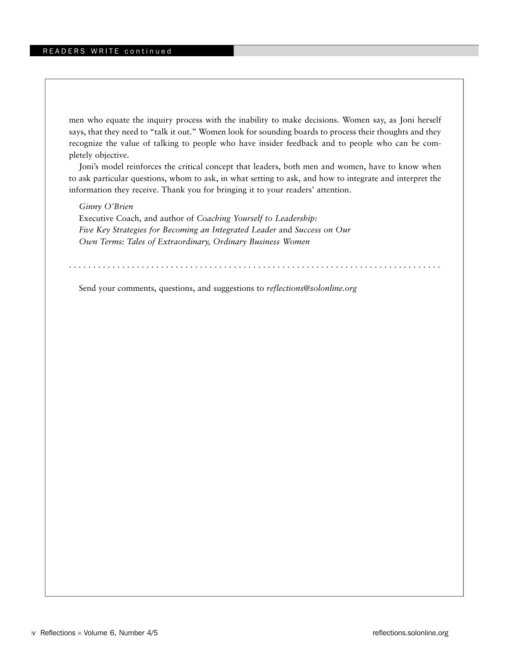men who equate the inquiry process with the inability to make decisions. Women say, as Joni herself says, that they need to "talk it out." Women look for sounding boards to process their thoughts and they recognize the value of talking to people who have insider feedback and to people who can be completely objective.

Joni's model reinforces the critical concept that leaders, both men and women, have to know when to ask particular questions, whom to ask, in what setting to ask, and how to integrate and interpret the information they receive. Thank you for bringing it to your readers' attention.

. . . . . . . . . . . . . . . . . . . . . . . . . . . . . . . . . . . . . . . . . . . . . . . . . . . . . . . . . . . . . . . . . . . . . . . . . . . . .

*Ginny O'Brien*

Executive Coach, and author of *Coaching Yourself to Leadership: Five Key Strategies for Becoming an Integrated Leader* and *Success on Our Own Terms: Tales of Extraordinary, Ordinary Business Women*

Send your comments, questions, and suggestions to *reflections@solonline.org*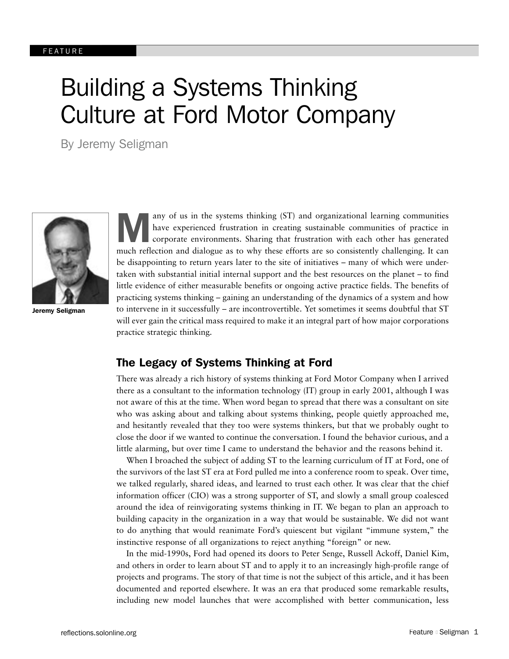# Building a Systems Thinking Culture at Ford Motor Company

By Jeremy Seligman



Jeremy Seligman

M<br>W any of us in the systems thinking (ST) and organizational learning communities have experienced frustration in creating sustainable communities of practice in corporate environments. Sharing that frustration with each other has generated much reflection and dialogue as to why these efforts are so consistently challenging. It can be disappointing to return years later to the site of initiatives – many of which were undertaken with substantial initial internal support and the best resources on the planet – to find little evidence of either measurable benefits or ongoing active practice fields. The benefits of practicing systems thinking – gaining an understanding of the dynamics of a system and how to intervene in it successfully – are incontrovertible. Yet sometimes it seems doubtful that ST will ever gain the critical mass required to make it an integral part of how major corporations practice strategic thinking.

# The Legacy of Systems Thinking at Ford

There was already a rich history of systems thinking at Ford Motor Company when I arrived there as a consultant to the information technology (IT) group in early 2001, although I was not aware of this at the time. When word began to spread that there was a consultant on site who was asking about and talking about systems thinking, people quietly approached me, and hesitantly revealed that they too were systems thinkers, but that we probably ought to close the door if we wanted to continue the conversation. I found the behavior curious, and a little alarming, but over time I came to understand the behavior and the reasons behind it.

When I broached the subject of adding ST to the learning curriculum of IT at Ford, one of the survivors of the last ST era at Ford pulled me into a conference room to speak. Over time, we talked regularly, shared ideas, and learned to trust each other. It was clear that the chief information officer (CIO) was a strong supporter of ST, and slowly a small group coalesced around the idea of reinvigorating systems thinking in IT. We began to plan an approach to building capacity in the organization in a way that would be sustainable. We did not want to do anything that would reanimate Ford's quiescent but vigilant "immune system," the instinctive response of all organizations to reject anything "foreign" or new.

In the mid-1990s, Ford had opened its doors to Peter Senge, Russell Ackoff, Daniel Kim, and others in order to learn about ST and to apply it to an increasingly high-profile range of projects and programs. The story of that time is not the subject of this article, and it has been documented and reported elsewhere. It was an era that produced some remarkable results, including new model launches that were accomplished with better communication, less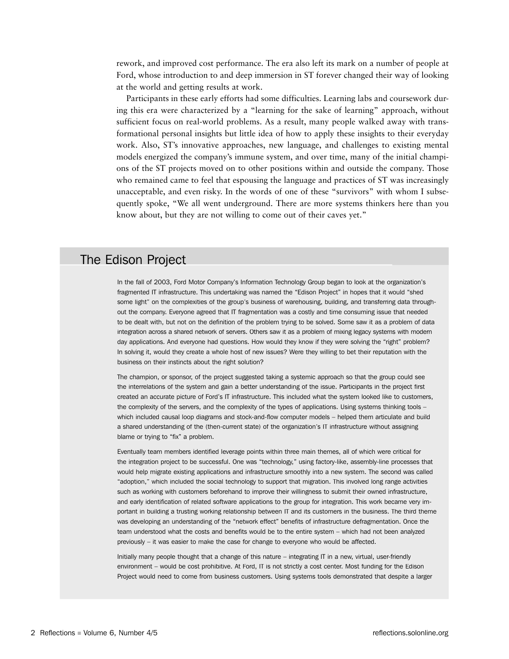rework, and improved cost performance. The era also left its mark on a number of people at Ford, whose introduction to and deep immersion in ST forever changed their way of looking at the world and getting results at work.

Participants in these early efforts had some difficulties. Learning labs and coursework during this era were characterized by a "learning for the sake of learning" approach, without sufficient focus on real-world problems. As a result, many people walked away with transformational personal insights but little idea of how to apply these insights to their everyday work. Also, ST's innovative approaches, new language, and challenges to existing mental models energized the company's immune system, and over time, many of the initial champions of the ST projects moved on to other positions within and outside the company. Those who remained came to feel that espousing the language and practices of ST was increasingly unacceptable, and even risky. In the words of one of these "survivors" with whom I subsequently spoke, "We all went underground. There are more systems thinkers here than you know about, but they are not willing to come out of their caves yet."

# The Edison Project

In the fall of 2003, Ford Motor Company's Information Technology Group began to look at the organization's fragmented IT infrastructure. This undertaking was named the "Edison Project" in hopes that it would "shed some light" on the complexities of the group's business of warehousing, building, and transferring data throughout the company. Everyone agreed that IT fragmentation was a costly and time consuming issue that needed to be dealt with, but not on the definition of the problem trying to be solved. Some saw it as a problem of data integration across a shared network of servers. Others saw it as a problem of mixing legacy systems with modern day applications. And everyone had questions. How would they know if they were solving the "right" problem? In solving it, would they create a whole host of new issues? Were they willing to bet their reputation with the business on their instincts about the right solution?

The champion, or sponsor, of the project suggested taking a systemic approach so that the group could see the interrelations of the system and gain a better understanding of the issue. Participants in the project first created an accurate picture of Ford's IT infrastructure. This included what the system looked like to customers, the complexity of the servers, and the complexity of the types of applications. Using systems thinking tools – which included causal loop diagrams and stock-and-flow computer models – helped them articulate and build a shared understanding of the (then-current state) of the organization's IT infrastructure without assigning blame or trying to "fix" a problem.

Eventually team members identified leverage points within three main themes, all of which were critical for the integration project to be successful. One was "technology," using factory-like, assembly-line processes that would help migrate existing applications and infrastructure smoothly into a new system. The second was called "adoption," which included the social technology to support that migration. This involved long range activities such as working with customers beforehand to improve their willingness to submit their owned infrastructure, and early identification of related software applications to the group for integration. This work became very important in building a trusting working relationship between IT and its customers in the business. The third theme was developing an understanding of the "network effect" benefits of infrastructure defragmentation. Once the team understood what the costs and benefits would be to the entire system – which had not been analyzed previously – it was easier to make the case for change to everyone who would be affected.

Initially many people thought that a change of this nature – integrating IT in a new, virtual, user-friendly environment – would be cost prohibitive. At Ford, IT is not strictly a cost center. Most funding for the Edison Project would need to come from business customers. Using systems tools demonstrated that despite a larger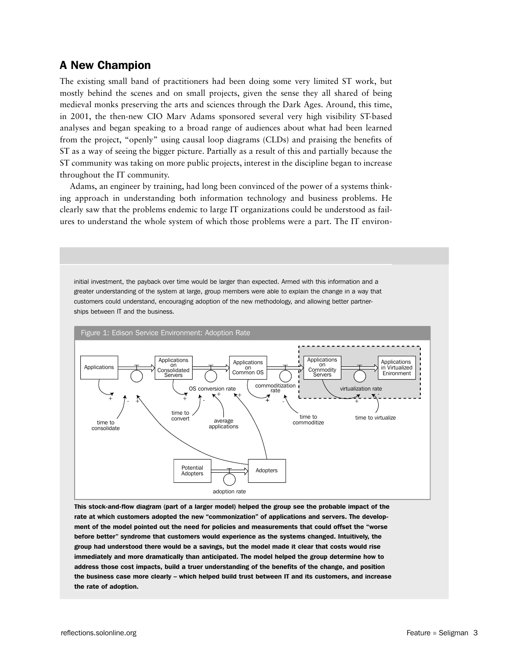# A New Champion

The existing small band of practitioners had been doing some very limited ST work, but mostly behind the scenes and on small projects, given the sense they all shared of being medieval monks preserving the arts and sciences through the Dark Ages. Around, this time, in 2001, the then-new CIO Marv Adams sponsored several very high visibility ST-based analyses and began speaking to a broad range of audiences about what had been learned from the project, "openly" using causal loop diagrams (CLDs) and praising the benefits of ST as a way of seeing the bigger picture. Partially as a result of this and partially because the ST community was taking on more public projects, interest in the discipline began to increase throughout the IT community.

Adams, an engineer by training, had long been convinced of the power of a systems thinking approach in understanding both information technology and business problems. He clearly saw that the problems endemic to large IT organizations could be understood as failures to understand the whole system of which those problems were a part. The IT environ-

initial investment, the payback over time would be larger than expected. Armed with this information and a greater understanding of the system at large, group members were able to explain the change in a way that customers could understand, encouraging adoption of the new methodology, and allowing better partnerships between IT and the business.



This stock-and-flow diagram (part of a larger model) helped the group see the probable impact of the rate at which customers adopted the new "commonization" of applications and servers. The development of the model pointed out the need for policies and measurements that could offset the "worse before better" syndrome that customers would experience as the systems changed. Intuitively, the group had understood there would be a savings, but the model made it clear that costs would rise immediately and more dramatically than anticipated. The model helped the group determine how to address those cost impacts, build a truer understanding of the benefits of the change, and position the business case more clearly – which helped build trust between IT and its customers, and increase the rate of adoption.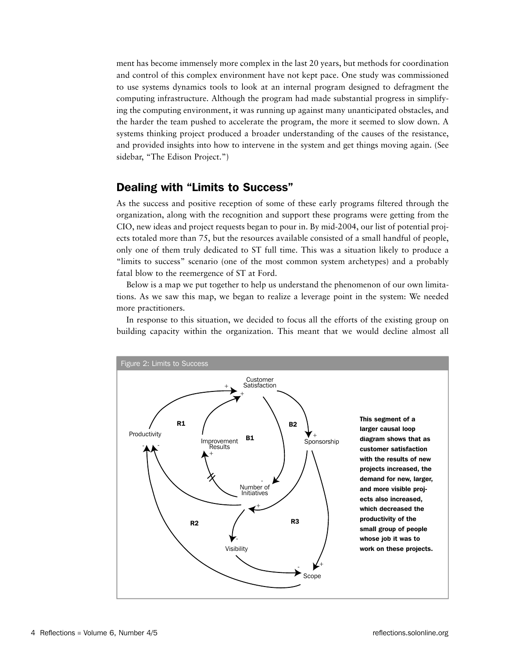ment has become immensely more complex in the last 20 years, but methods for coordination and control of this complex environment have not kept pace. One study was commissioned to use systems dynamics tools to look at an internal program designed to defragment the computing infrastructure. Although the program had made substantial progress in simplifying the computing environment, it was running up against many unanticipated obstacles, and the harder the team pushed to accelerate the program, the more it seemed to slow down. A systems thinking project produced a broader understanding of the causes of the resistance, and provided insights into how to intervene in the system and get things moving again. (See sidebar, "The Edison Project.")

# Dealing with "Limits to Success"

As the success and positive reception of some of these early programs filtered through the organization, along with the recognition and support these programs were getting from the CIO, new ideas and project requests began to pour in. By mid-2004, our list of potential projects totaled more than 75, but the resources available consisted of a small handful of people, only one of them truly dedicated to ST full time. This was a situation likely to produce a "limits to success" scenario (one of the most common system archetypes) and a probably fatal blow to the reemergence of ST at Ford.

Below is a map we put together to help us understand the phenomenon of our own limitations. As we saw this map, we began to realize a leverage point in the system: We needed more practitioners.

In response to this situation, we decided to focus all the efforts of the existing group on building capacity within the organization. This meant that we would decline almost all

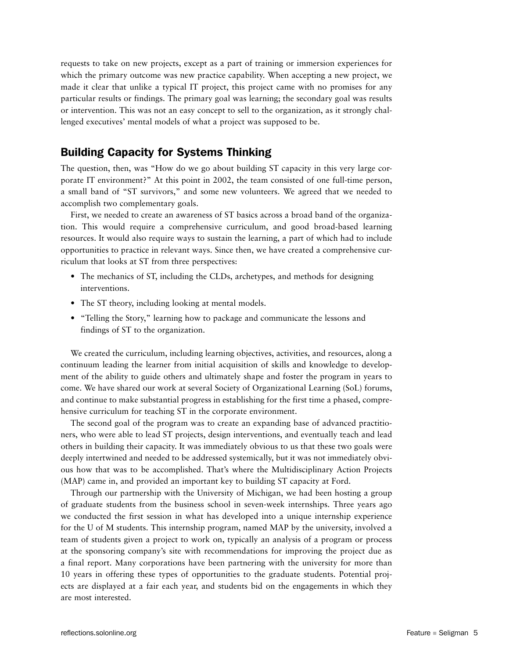requests to take on new projects, except as a part of training or immersion experiences for which the primary outcome was new practice capability. When accepting a new project, we made it clear that unlike a typical IT project, this project came with no promises for any particular results or findings. The primary goal was learning; the secondary goal was results or intervention. This was not an easy concept to sell to the organization, as it strongly challenged executives' mental models of what a project was supposed to be.

# Building Capacity for Systems Thinking

The question, then, was "How do we go about building ST capacity in this very large corporate IT environment?" At this point in 2002, the team consisted of one full-time person, a small band of "ST survivors," and some new volunteers. We agreed that we needed to accomplish two complementary goals.

First, we needed to create an awareness of ST basics across a broad band of the organization. This would require a comprehensive curriculum, and good broad-based learning resources. It would also require ways to sustain the learning, a part of which had to include opportunities to practice in relevant ways. Since then, we have created a comprehensive curriculum that looks at ST from three perspectives:

- The mechanics of ST, including the CLDs, archetypes, and methods for designing interventions.
- The ST theory, including looking at mental models.
- "Telling the Story," learning how to package and communicate the lessons and findings of ST to the organization.

We created the curriculum, including learning objectives, activities, and resources, along a continuum leading the learner from initial acquisition of skills and knowledge to development of the ability to guide others and ultimately shape and foster the program in years to come. We have shared our work at several Society of Organizational Learning (SoL) forums, and continue to make substantial progress in establishing for the first time a phased, comprehensive curriculum for teaching ST in the corporate environment.

The second goal of the program was to create an expanding base of advanced practitioners, who were able to lead ST projects, design interventions, and eventually teach and lead others in building their capacity. It was immediately obvious to us that these two goals were deeply intertwined and needed to be addressed systemically, but it was not immediately obvious how that was to be accomplished. That's where the Multidisciplinary Action Projects (MAP) came in, and provided an important key to building ST capacity at Ford.

Through our partnership with the University of Michigan, we had been hosting a group of graduate students from the business school in seven-week internships. Three years ago we conducted the first session in what has developed into a unique internship experience for the U of M students. This internship program, named MAP by the university, involved a team of students given a project to work on, typically an analysis of a program or process at the sponsoring company's site with recommendations for improving the project due as a final report. Many corporations have been partnering with the university for more than 10 years in offering these types of opportunities to the graduate students. Potential projects are displayed at a fair each year, and students bid on the engagements in which they are most interested.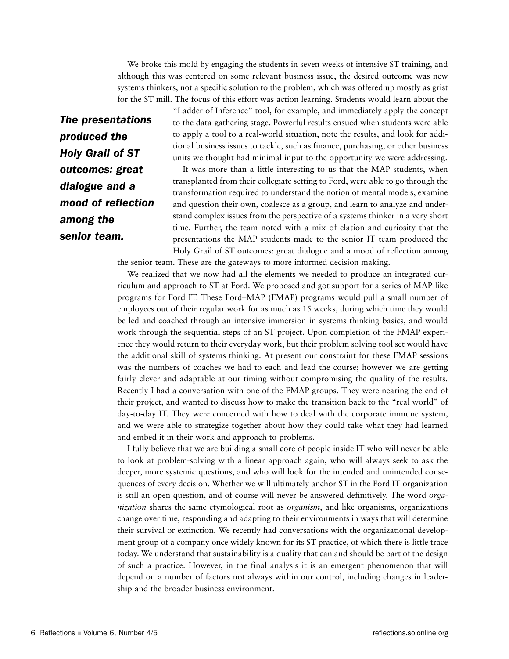We broke this mold by engaging the students in seven weeks of intensive ST training, and although this was centered on some relevant business issue, the desired outcome was new systems thinkers, not a specific solution to the problem, which was offered up mostly as grist for the ST mill. The focus of this effort was action learning. Students would learn about the

*The presentations produced the Holy Grail of ST outcomes: great dialogue and a mood of reflection among the senior team.*

"Ladder of Inference" tool, for example, and immediately apply the concept to the data-gathering stage. Powerful results ensued when students were able to apply a tool to a real-world situation, note the results, and look for additional business issues to tackle, such as finance, purchasing, or other business units we thought had minimal input to the opportunity we were addressing.

It was more than a little interesting to us that the MAP students, when transplanted from their collegiate setting to Ford, were able to go through the transformation required to understand the notion of mental models, examine and question their own, coalesce as a group, and learn to analyze and understand complex issues from the perspective of a systems thinker in a very short time. Further, the team noted with a mix of elation and curiosity that the presentations the MAP students made to the senior IT team produced the Holy Grail of ST outcomes: great dialogue and a mood of reflection among

the senior team. These are the gateways to more informed decision making.

We realized that we now had all the elements we needed to produce an integrated curriculum and approach to ST at Ford. We proposed and got support for a series of MAP-like programs for Ford IT. These Ford–MAP (FMAP) programs would pull a small number of employees out of their regular work for as much as 15 weeks, during which time they would be led and coached through an intensive immersion in systems thinking basics, and would work through the sequential steps of an ST project. Upon completion of the FMAP experience they would return to their everyday work, but their problem solving tool set would have the additional skill of systems thinking. At present our constraint for these FMAP sessions was the numbers of coaches we had to each and lead the course; however we are getting fairly clever and adaptable at our timing without compromising the quality of the results. Recently I had a conversation with one of the FMAP groups. They were nearing the end of their project, and wanted to discuss how to make the transition back to the "real world" of day-to-day IT. They were concerned with how to deal with the corporate immune system, and we were able to strategize together about how they could take what they had learned and embed it in their work and approach to problems.

I fully believe that we are building a small core of people inside IT who will never be able to look at problem-solving with a linear approach again, who will always seek to ask the deeper, more systemic questions, and who will look for the intended and unintended consequences of every decision. Whether we will ultimately anchor ST in the Ford IT organization is still an open question, and of course will never be answered definitively. The word *organization* shares the same etymological root as *organism*, and like organisms, organizations change over time, responding and adapting to their environments in ways that will determine their survival or extinction. We recently had conversations with the organizational development group of a company once widely known for its ST practice, of which there is little trace today. We understand that sustainability is a quality that can and should be part of the design of such a practice. However, in the final analysis it is an emergent phenomenon that will depend on a number of factors not always within our control, including changes in leadership and the broader business environment.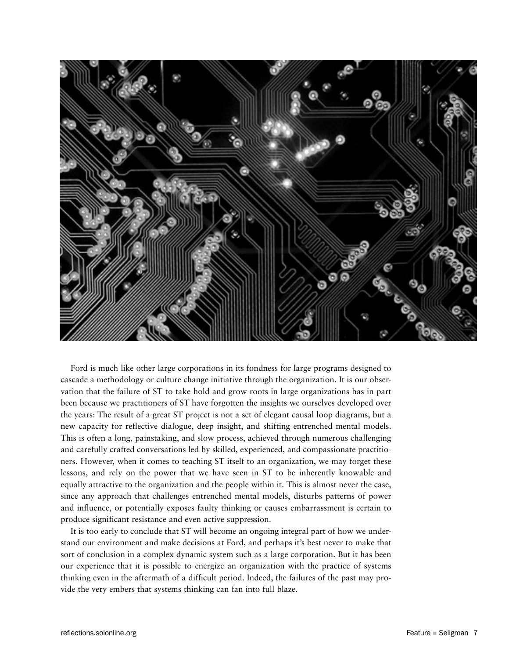

Ford is much like other large corporations in its fondness for large programs designed to cascade a methodology or culture change initiative through the organization. It is our observation that the failure of ST to take hold and grow roots in large organizations has in part been because we practitioners of ST have forgotten the insights we ourselves developed over the years: The result of a great ST project is not a set of elegant causal loop diagrams, but a new capacity for reflective dialogue, deep insight, and shifting entrenched mental models. This is often a long, painstaking, and slow process, achieved through numerous challenging and carefully crafted conversations led by skilled, experienced, and compassionate practitioners. However, when it comes to teaching ST itself to an organization, we may forget these lessons, and rely on the power that we have seen in ST to be inherently knowable and equally attractive to the organization and the people within it. This is almost never the case, since any approach that challenges entrenched mental models, disturbs patterns of power and influence, or potentially exposes faulty thinking or causes embarrassment is certain to produce significant resistance and even active suppression.

It is too early to conclude that ST will become an ongoing integral part of how we understand our environment and make decisions at Ford, and perhaps it's best never to make that sort of conclusion in a complex dynamic system such as a large corporation. But it has been our experience that it is possible to energize an organization with the practice of systems thinking even in the aftermath of a difficult period. Indeed, the failures of the past may provide the very embers that systems thinking can fan into full blaze.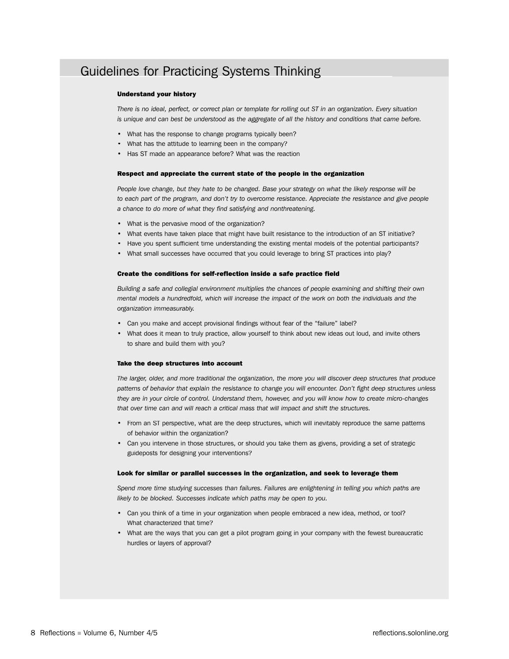# Guidelines for Practicing Systems Thinking

#### Understand your history

*There is no ideal, perfect, or correct plan or template for rolling out ST in an organization. Every situation is unique and can best be understood as the aggregate of all the history and conditions that came before.*

- What has the response to change programs typically been?
- What has the attitude to learning been in the company?
- Has ST made an appearance before? What was the reaction

#### Respect and appreciate the current state of the people in the organization

*People love change, but they hate to be changed. Base your strategy on what the likely response will be to each part of the program, and don't try to overcome resistance. Appreciate the resistance and give people a chance to do more of what they find satisfying and nonthreatening.*

- What is the pervasive mood of the organization?
- What events have taken place that might have built resistance to the introduction of an ST initiative?
- Have you spent sufficient time understanding the existing mental models of the potential participants?
- What small successes have occurred that you could leverage to bring ST practices into play?

#### Create the conditions for self-reflection inside a safe practice field

*Building a safe and collegial environment multiplies the chances of people examining and shifting their own mental models a hundredfold, which will increase the impact of the work on both the individuals and the organization immeasurably.* 

- Can you make and accept provisional findings without fear of the "failure" label?
- What does it mean to truly practice, allow yourself to think about new ideas out loud, and invite others to share and build them with you?

#### Take the deep structures into account

*The larger, older, and more traditional the organization, the more you will discover deep structures that produce patterns of behavior that explain the resistance to change you will encounter. Don't fight deep structures unless they are in your circle of control. Understand them, however, and you will know how to create micro-changes that over time can and will reach a critical mass that will impact and shift the structures.*

- From an ST perspective, what are the deep structures, which will inevitably reproduce the same patterns of behavior within the organization?
- Can you intervene in those structures, or should you take them as givens, providing a set of strategic guideposts for designing your interventions?

#### Look for similar or parallel successes in the organization, and seek to leverage them

*Spend more time studying successes than failures. Failures are enlightening in telling you which paths are likely to be blocked. Successes indicate which paths may be open to you.* 

- Can you think of a time in your organization when people embraced a new idea, method, or tool? What characterized that time?
- What are the ways that you can get a pilot program going in your company with the fewest bureaucratic hurdles or layers of approval?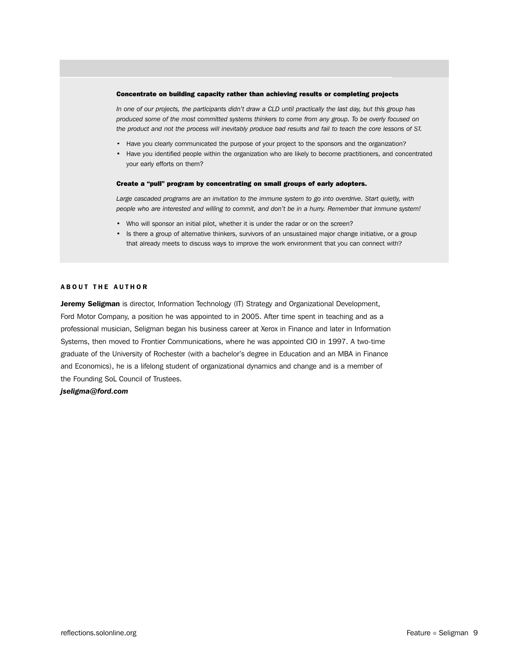#### Concentrate on building capacity rather than achieving results or completing projects

*In one of our projects, the participants didn't draw a CLD until practically the last day, but this group has produced some of the most committed systems thinkers to come from any group. To be overly focused on the product and not the process will inevitably produce bad results and fail to teach the core lessons of ST.*

- Have you clearly communicated the purpose of your project to the sponsors and the organization?
- Have you identified people within the organization who are likely to become practitioners, and concentrated your early efforts on them?

#### Create a "pull" program by concentrating on small groups of early adopters.

*Large cascaded programs are an invitation to the immune system to go into overdrive. Start quietly, with people who are interested and willing to commit, and don't be in a hurry. Remember that immune system!*

- Who will sponsor an initial pilot, whether it is under the radar or on the screen?
- Is there a group of alternative thinkers, survivors of an unsustained major change initiative, or a group that already meets to discuss ways to improve the work environment that you can connect with?

#### A B O UT THE AUTHOR

Jeremy Seligman is director, Information Technology (IT) Strategy and Organizational Development, Ford Motor Company, a position he was appointed to in 2005. After time spent in teaching and as a professional musician, Seligman began his business career at Xerox in Finance and later in Information Systems, then moved to Frontier Communications, where he was appointed CIO in 1997. A two-time graduate of the University of Rochester (with a bachelor's degree in Education and an MBA in Finance and Economics), he is a lifelong student of organizational dynamics and change and is a member of the Founding SoL Council of Trustees.

#### *jseligma@ford.com*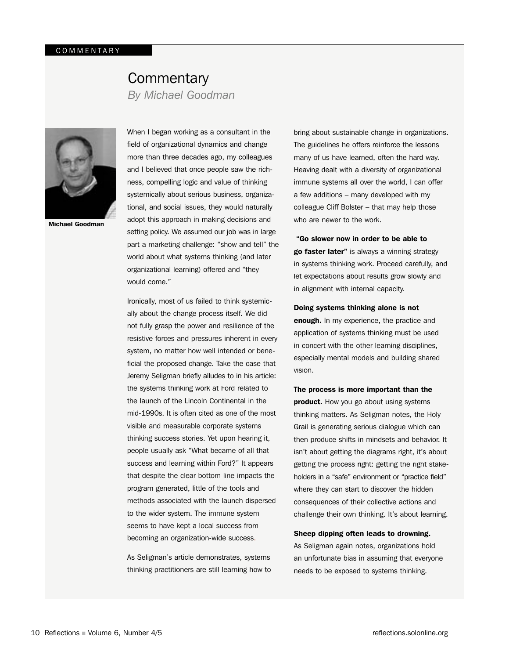# **Commentary** *By Michael Goodman*



Michael Goodman

When I began working as a consultant in the field of organizational dynamics and change more than three decades ago, my colleagues and I believed that once people saw the richness, compelling logic and value of thinking systemically about serious business, organizational, and social issues, they would naturally adopt this approach in making decisions and setting policy. We assumed our job was in large part a marketing challenge: "show and tell" the world about what systems thinking (and later organizational learning) offered and "they would come."

Ironically, most of us failed to think systemically about the change process itself. We did not fully grasp the power and resilience of the resistive forces and pressures inherent in every system, no matter how well intended or beneficial the proposed change. Take the case that Jeremy Seligman briefly alludes to in his article: the systems thinking work at Ford related to the launch of the Lincoln Continental in the mid-1990s. It is often cited as one of the most visible and measurable corporate systems thinking success stories. Yet upon hearing it, people usually ask "What became of all that success and learning within Ford?" It appears that despite the clear bottom line impacts the program generated, little of the tools and methods associated with the launch dispersed to the wider system. The immune system seems to have kept a local success from becoming an organization-wide success.

As Seligman's article demonstrates, systems thinking practitioners are still learning how to

bring about sustainable change in organizations. The guidelines he offers reinforce the lessons many of us have learned, often the hard way. Heaving dealt with a diversity of organizational immune systems all over the world, I can offer a few additions – many developed with my colleague Cliff Bolster – that may help those who are newer to the work.

"Go slower now in order to be able to go faster later" is always a winning strategy in systems thinking work. Proceed carefully, and let expectations about results grow slowly and in alignment with internal capacity.

Doing systems thinking alone is not enough. In my experience, the practice and application of systems thinking must be used in concert with the other learning disciplines, especially mental models and building shared

vision.

The process is more important than the product. How you go about using systems thinking matters. As Seligman notes, the Holy Grail is generating serious dialogue which can then produce shifts in mindsets and behavior. It isn't about getting the diagrams right, it's about getting the process right: getting the right stakeholders in a "safe" environment or "practice field" where they can start to discover the hidden consequences of their collective actions and challenge their own thinking. It's about learning.

Sheep dipping often leads to drowning.

As Seligman again notes, organizations hold an unfortunate bias in assuming that everyone needs to be exposed to systems thinking.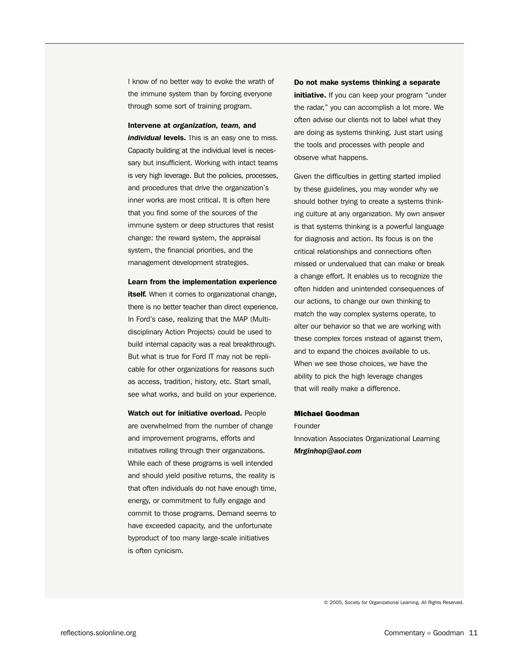I know of no better way to evoke the wrath of the immune system than by forcing everyone through some sort of training program.

Intervene at *organization, team,* and

*individual* levels. This is an easy one to miss. Capacity building at the individual level is necessary but insufficient. Working with intact teams is very high leverage. But the policies, processes, and procedures that drive the organization's inner works are most critical. It is often here that you find some of the sources of the immune system or deep structures that resist change: the reward system, the appraisal system, the financial priorities, and the management development strategies.

Learn from the implementation experience

itself. When it comes to organizational change, there is no better teacher than direct experience. In Ford's case, realizing that the MAP (Multidisciplinary Action Projects) could be used to build internal capacity was a real breakthrough. But what is true for Ford IT may not be replicable for other organizations for reasons such as access, tradition, history, etc. Start small, see what works, and build on your experience.

Watch out for initiative overload. People are overwhelmed from the number of change and improvement programs, efforts and initiatives rolling through their organizations. While each of these programs is well intended and should yield positive returns, the reality is that often individuals do not have enough time, energy, or commitment to fully engage and commit to those programs. Demand seems to have exceeded capacity, and the unfortunate byproduct of too many large-scale initiatives is often cynicism.

Do not make systems thinking a separate initiative. If you can keep your program "under the radar," you can accomplish a lot more. We often advise our clients not to label what they are doing as systems thinking. Just start using the tools and processes with people and observe what happens.

Given the difficulties in getting started implied by these guidelines, you may wonder why we should bother trying to create a systems thinking culture at any organization. My own answer is that systems thinking is a powerful language for diagnosis and action. Its focus is on the critical relationships and connections often missed or undervalued that can make or break a change effort. It enables us to recognize the often hidden and unintended consequences of our actions, to change our own thinking to match the way complex systems operate, to alter our behavior so that we are working with these complex forces instead of against them, and to expand the choices available to us. When we see those choices, we have the ability to pick the high leverage changes that will really make a difference.

#### Michael Goodman

Founder

Innovation Associates Organizational Learning *Mrginhop@aol.com*

© 2005, Society for Organizational Learning. All Rights Reserved.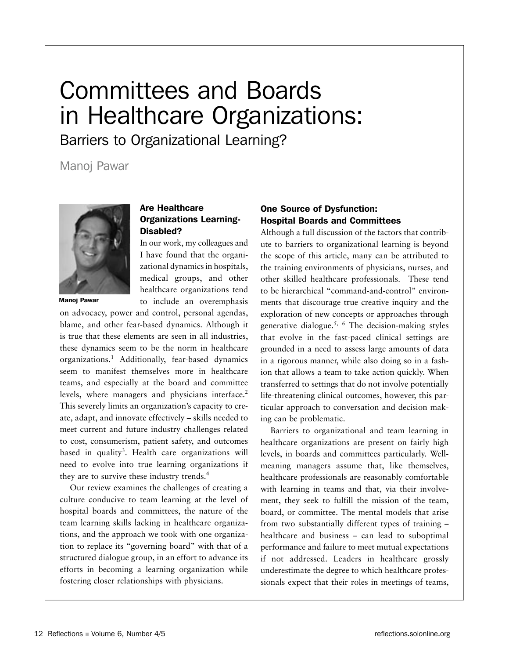# Committees and Boards in Healthcare Organizations: Barriers to Organizational Learning?

Manoj Pawar



Manoj Pawar

## Are Healthcare Organizations Learning-Disabled?

In our work, my colleagues and I have found that the organizational dynamics in hospitals, medical groups, and other healthcare organizations tend to include an overemphasis

on advocacy, power and control, personal agendas, blame, and other fear-based dynamics. Although it is true that these elements are seen in all industries, these dynamics seem to be the norm in healthcare organizations.<sup>1</sup> Additionally, fear-based dynamics seem to manifest themselves more in healthcare teams, and especially at the board and committee levels, where managers and physicians interface.<sup>2</sup> This severely limits an organization's capacity to create, adapt, and innovate effectively – skills needed to meet current and future industry challenges related to cost, consumerism, patient safety, and outcomes based in quality<sup>3</sup>. Health care organizations will need to evolve into true learning organizations if they are to survive these industry trends.<sup>4</sup>

Our review examines the challenges of creating a culture conducive to team learning at the level of hospital boards and committees, the nature of the team learning skills lacking in healthcare organizations, and the approach we took with one organization to replace its "governing board" with that of a structured dialogue group, in an effort to advance its efforts in becoming a learning organization while fostering closer relationships with physicians.

# One Source of Dysfunction: Hospital Boards and Committees

Although a full discussion of the factors that contribute to barriers to organizational learning is beyond the scope of this article, many can be attributed to the training environments of physicians, nurses, and other skilled healthcare professionals. These tend to be hierarchical "command-and-control" environments that discourage true creative inquiry and the exploration of new concepts or approaches through generative dialogue.<sup>5, 6</sup> The decision-making styles that evolve in the fast-paced clinical settings are grounded in a need to assess large amounts of data in a rigorous manner, while also doing so in a fashion that allows a team to take action quickly. When transferred to settings that do not involve potentially life-threatening clinical outcomes, however, this particular approach to conversation and decision making can be problematic.

Barriers to organizational and team learning in healthcare organizations are present on fairly high levels, in boards and committees particularly. Wellmeaning managers assume that, like themselves, healthcare professionals are reasonably comfortable with learning in teams and that, via their involvement, they seek to fulfill the mission of the team, board, or committee. The mental models that arise from two substantially different types of training – healthcare and business – can lead to suboptimal performance and failure to meet mutual expectations if not addressed. Leaders in healthcare grossly underestimate the degree to which healthcare professionals expect that their roles in meetings of teams,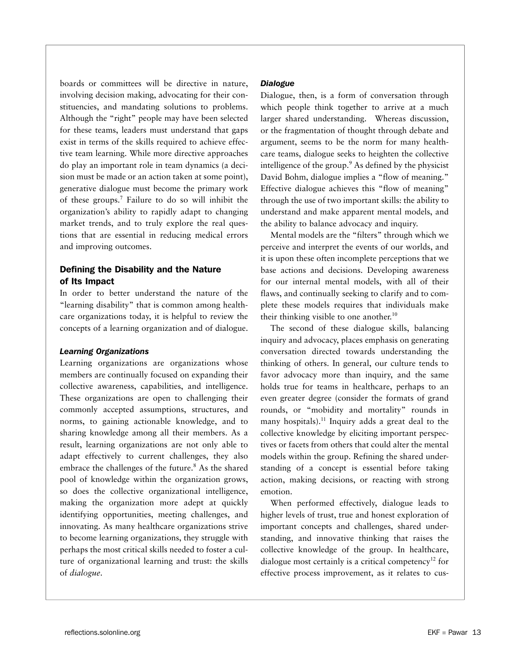boards or committees will be directive in nature, involving decision making, advocating for their constituencies, and mandating solutions to problems. Although the "right" people may have been selected for these teams, leaders must understand that gaps exist in terms of the skills required to achieve effective team learning. While more directive approaches do play an important role in team dynamics (a decision must be made or an action taken at some point), generative dialogue must become the primary work of these groups.<sup>7</sup> Failure to do so will inhibit the organization's ability to rapidly adapt to changing market trends, and to truly explore the real questions that are essential in reducing medical errors and improving outcomes.

# Defining the Disability and the Nature of Its Impact

In order to better understand the nature of the "learning disability" that is common among healthcare organizations today, it is helpful to review the concepts of a learning organization and of dialogue.

#### *Learning Organizations*

Learning organizations are organizations whose members are continually focused on expanding their collective awareness, capabilities, and intelligence. These organizations are open to challenging their commonly accepted assumptions, structures, and norms, to gaining actionable knowledge, and to sharing knowledge among all their members. As a result, learning organizations are not only able to adapt effectively to current challenges, they also embrace the challenges of the future.<sup>8</sup> As the shared pool of knowledge within the organization grows, so does the collective organizational intelligence, making the organization more adept at quickly identifying opportunities, meeting challenges, and innovating. As many healthcare organizations strive to become learning organizations, they struggle with perhaps the most critical skills needed to foster a culture of organizational learning and trust: the skills of *dialogue*.

#### *Dialogue*

Dialogue, then, is a form of conversation through which people think together to arrive at a much larger shared understanding. Whereas discussion, or the fragmentation of thought through debate and argument, seems to be the norm for many healthcare teams, dialogue seeks to heighten the collective intelligence of the group. $\frac{9}{5}$  As defined by the physicist David Bohm, dialogue implies a "flow of meaning." Effective dialogue achieves this "flow of meaning" through the use of two important skills: the ability to understand and make apparent mental models, and the ability to balance advocacy and inquiry.

Mental models are the "filters" through which we perceive and interpret the events of our worlds, and it is upon these often incomplete perceptions that we base actions and decisions. Developing awareness for our internal mental models, with all of their flaws, and continually seeking to clarify and to complete these models requires that individuals make their thinking visible to one another.<sup>10</sup>

The second of these dialogue skills, balancing inquiry and advocacy, places emphasis on generating conversation directed towards understanding the thinking of others. In general, our culture tends to favor advocacy more than inquiry, and the same holds true for teams in healthcare, perhaps to an even greater degree (consider the formats of grand rounds, or "mobidity and mortality" rounds in many hospitals).<sup>11</sup> Inquiry adds a great deal to the collective knowledge by eliciting important perspectives or facets from others that could alter the mental models within the group. Refining the shared understanding of a concept is essential before taking action, making decisions, or reacting with strong emotion.

When performed effectively, dialogue leads to higher levels of trust, true and honest exploration of important concepts and challenges, shared understanding, and innovative thinking that raises the collective knowledge of the group. In healthcare, dialogue most certainly is a critical competency<sup>12</sup> for effective process improvement, as it relates to cus-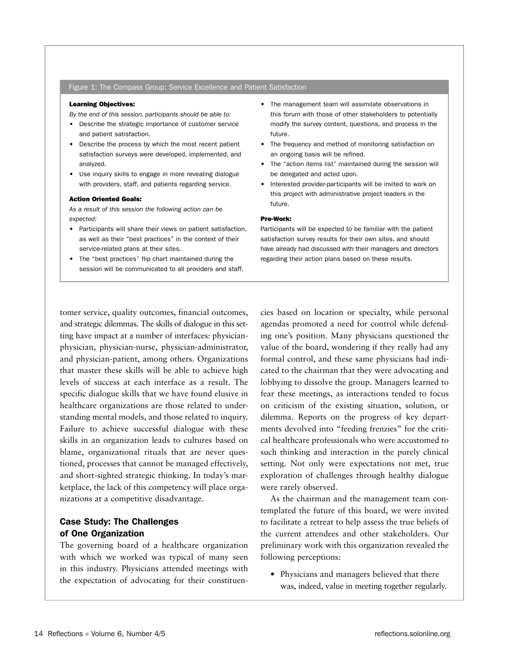#### Figure 1: The Compass Group: Service Excellence and Patient Satisfaction

#### Learning Objectives:

*By the end of this session, participants should be able to:*

- Describe the strategic importance of customer service and patient satisfaction.
- Describe the process by which the most recent patient satisfaction surveys were developed, implemented, and analyzed.
- Use inquiry skills to engage in more revealing dialogue with providers, staff, and patients regarding service.

#### Action Oriented Goals:

*As a result of this session the following action can be expected:*

- Participants will share their views on patient satisfaction, as well as their "best practices" in the context of their service-related plans at their sites.
- The "best practices" flip chart maintained during the session will be communicated to all providers and staff.
- The management team will assimilate observations in this forum with those of other stakeholders to potentially modify the survey content, questions, and process in the future.
- The frequency and method of monitoring satisfaction on an ongoing basis will be refined.
- The "action items list" maintained during the session will be delegated and acted upon.
- Interested provider-participants will be invited to work on this project with administrative project leaders in the future.

#### Pre-Work:

Participants will be expected to be familiar with the patient satisfaction survey results for their own sites, and should have already had discussed with their managers and directors regarding their action plans based on these results.

tomer service, quality outcomes, financial outcomes, and strategic dilemmas. The skills of dialogue in this setting have impact at a number of interfaces: physicianphysician, physician-nurse, physician-administrator, and physician-patient, among others. Organizations that master these skills will be able to achieve high levels of success at each interface as a result. The specific dialogue skills that we have found elusive in healthcare organizations are those related to understanding mental models, and those related to inquiry. Failure to achieve successful dialogue with these skills in an organization leads to cultures based on blame, organizational rituals that are never questioned, processes that cannot be managed effectively, and short-sighted strategic thinking. In today's marketplace, the lack of this competency will place organizations at a competitive disadvantage.

## Case Study: The Challenges of One Organization

The governing board of a healthcare organization with which we worked was typical of many seen in this industry. Physicians attended meetings with the expectation of advocating for their constituencies based on location or specialty, while personal agendas promoted a need for control while defending one's position. Many physicians questioned the value of the board, wondering if they really had any formal control, and these same physicians had indicated to the chairman that they were advocating and lobbying to dissolve the group. Managers learned to fear these meetings, as interactions tended to focus on criticism of the existing situation, solution, or dilemma. Reports on the progress of key departments devolved into "feeding frenzies" for the critical healthcare professionals who were accustomed to such thinking and interaction in the purely clinical setting. Not only were expectations not met, true exploration of challenges through healthy dialogue were rarely observed.

As the chairman and the management team contemplated the future of this board, we were invited to facilitate a retreat to help assess the true beliefs of the current attendees and other stakeholders. Our preliminary work with this organization revealed the following perceptions:

• Physicians and managers believed that there was, indeed, value in meeting together regularly.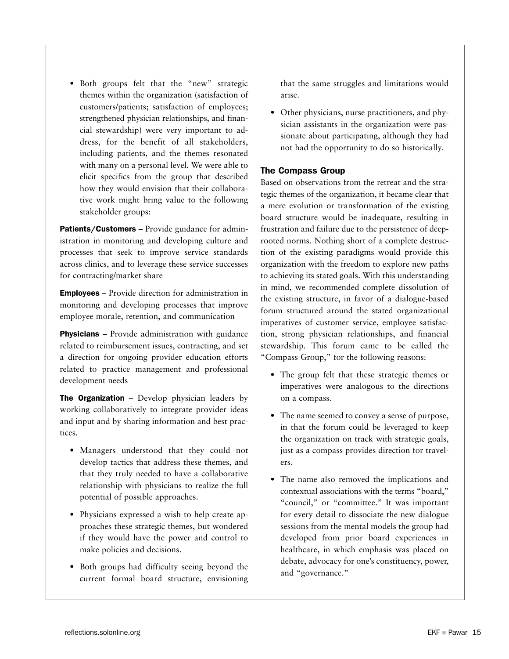• Both groups felt that the "new" strategic themes within the organization (satisfaction of customers/patients; satisfaction of employees; strengthened physician relationships, and financial stewardship) were very important to address, for the benefit of all stakeholders, including patients, and the themes resonated with many on a personal level. We were able to elicit specifics from the group that described how they would envision that their collaborative work might bring value to the following stakeholder groups:

Patients/Customers - Provide guidance for administration in monitoring and developing culture and processes that seek to improve service standards across clinics, and to leverage these service successes for contracting/market share

Employees – Provide direction for administration in monitoring and developing processes that improve employee morale, retention, and communication

**Physicians** – Provide administration with guidance related to reimbursement issues, contracting, and set a direction for ongoing provider education efforts related to practice management and professional development needs

The Organization - Develop physician leaders by working collaboratively to integrate provider ideas and input and by sharing information and best practices.

- Managers understood that they could not develop tactics that address these themes, and that they truly needed to have a collaborative relationship with physicians to realize the full potential of possible approaches.
- Physicians expressed a wish to help create approaches these strategic themes, but wondered if they would have the power and control to make policies and decisions.
- Both groups had difficulty seeing beyond the current formal board structure, envisioning

that the same struggles and limitations would arise.

• Other physicians, nurse practitioners, and physician assistants in the organization were passionate about participating, although they had not had the opportunity to do so historically.

# The Compass Group

Based on observations from the retreat and the strategic themes of the organization, it became clear that a mere evolution or transformation of the existing board structure would be inadequate, resulting in frustration and failure due to the persistence of deeprooted norms. Nothing short of a complete destruction of the existing paradigms would provide this organization with the freedom to explore new paths to achieving its stated goals. With this understanding in mind, we recommended complete dissolution of the existing structure, in favor of a dialogue-based forum structured around the stated organizational imperatives of customer service, employee satisfaction, strong physician relationships, and financial stewardship. This forum came to be called the "Compass Group," for the following reasons:

- The group felt that these strategic themes or imperatives were analogous to the directions on a compass.
- The name seemed to convey a sense of purpose, in that the forum could be leveraged to keep the organization on track with strategic goals, just as a compass provides direction for travelers.
- The name also removed the implications and contextual associations with the terms "board," "council," or "committee." It was important for every detail to dissociate the new dialogue sessions from the mental models the group had developed from prior board experiences in healthcare, in which emphasis was placed on debate, advocacy for one's constituency, power, and "governance."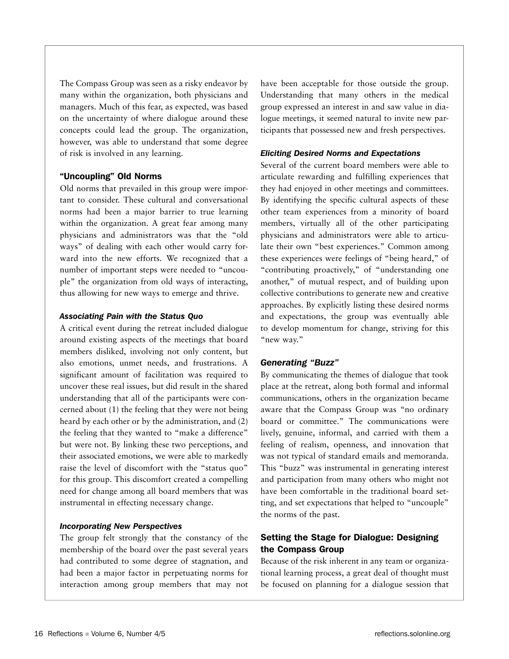The Compass Group was seen as a risky endeavor by many within the organization, both physicians and managers. Much of this fear, as expected, was based on the uncertainty of where dialogue around these concepts could lead the group. The organization, however, was able to understand that some degree of risk is involved in any learning.

#### "Uncoupling" Old Norms

Old norms that prevailed in this group were important to consider. These cultural and conversational norms had been a major barrier to true learning within the organization. A great fear among many physicians and administrators was that the "old ways" of dealing with each other would carry forward into the new efforts. We recognized that a number of important steps were needed to "uncouple" the organization from old ways of interacting, thus allowing for new ways to emerge and thrive.

#### *Associating Pain with the Status Quo*

A critical event during the retreat included dialogue around existing aspects of the meetings that board members disliked, involving not only content, but also emotions, unmet needs, and frustrations. A significant amount of facilitation was required to uncover these real issues, but did result in the shared understanding that all of the participants were concerned about (1) the feeling that they were not being heard by each other or by the administration, and (2) the feeling that they wanted to "make a difference" but were not. By linking these two perceptions, and their associated emotions, we were able to markedly raise the level of discomfort with the "status quo" for this group. This discomfort created a compelling need for change among all board members that was instrumental in effecting necessary change.

#### *Incorporating New Perspectives*

The group felt strongly that the constancy of the membership of the board over the past several years had contributed to some degree of stagnation, and had been a major factor in perpetuating norms for interaction among group members that may not

have been acceptable for those outside the group. Understanding that many others in the medical group expressed an interest in and saw value in dialogue meetings, it seemed natural to invite new participants that possessed new and fresh perspectives.

#### *Eliciting Desired Norms and Expectations*

Several of the current board members were able to articulate rewarding and fulfilling experiences that they had enjoyed in other meetings and committees. By identifying the specific cultural aspects of these other team experiences from a minority of board members, virtually all of the other participating physicians and administrators were able to articulate their own "best experiences." Common among these experiences were feelings of "being heard," of "contributing proactively," of "understanding one another," of mutual respect, and of building upon collective contributions to generate new and creative approaches. By explicitly listing these desired norms and expectations, the group was eventually able to develop momentum for change, striving for this "new way."

#### *Generating "Buzz"*

By communicating the themes of dialogue that took place at the retreat, along both formal and informal communications, others in the organization became aware that the Compass Group was "no ordinary board or committee." The communications were lively, genuine, informal, and carried with them a feeling of realism, openness, and innovation that was not typical of standard emails and memoranda. This "buzz" was instrumental in generating interest and participation from many others who might not have been comfortable in the traditional board setting, and set expectations that helped to "uncouple" the norms of the past.

## Setting the Stage for Dialogue: Designing the Compass Group

Because of the risk inherent in any team or organizational learning process, a great deal of thought must be focused on planning for a dialogue session that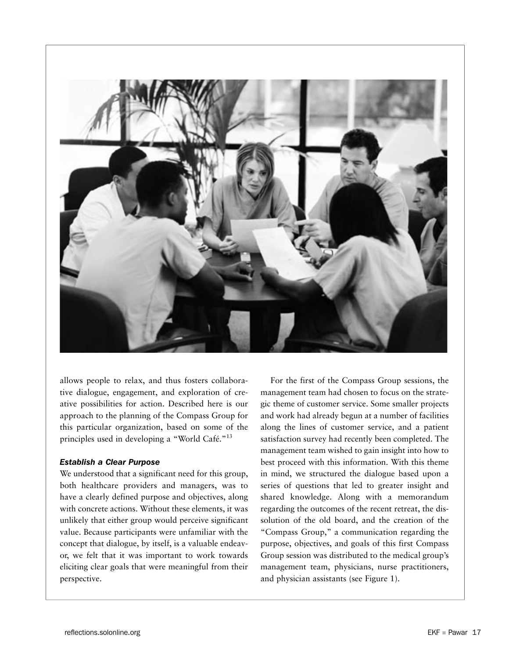

allows people to relax, and thus fosters collaborative dialogue, engagement, and exploration of creative possibilities for action. Described here is our approach to the planning of the Compass Group for this particular organization, based on some of the principles used in developing a "World Café."13

#### *Establish a Clear Purpose*

We understood that a significant need for this group, both healthcare providers and managers, was to have a clearly defined purpose and objectives, along with concrete actions. Without these elements, it was unlikely that either group would perceive significant value. Because participants were unfamiliar with the concept that dialogue, by itself, is a valuable endeavor, we felt that it was important to work towards eliciting clear goals that were meaningful from their perspective.

For the first of the Compass Group sessions, the management team had chosen to focus on the strategic theme of customer service. Some smaller projects and work had already begun at a number of facilities along the lines of customer service, and a patient satisfaction survey had recently been completed. The management team wished to gain insight into how to best proceed with this information. With this theme in mind, we structured the dialogue based upon a series of questions that led to greater insight and shared knowledge. Along with a memorandum regarding the outcomes of the recent retreat, the dissolution of the old board, and the creation of the "Compass Group," a communication regarding the purpose, objectives, and goals of this first Compass Group session was distributed to the medical group's management team, physicians, nurse practitioners, and physician assistants (see Figure 1).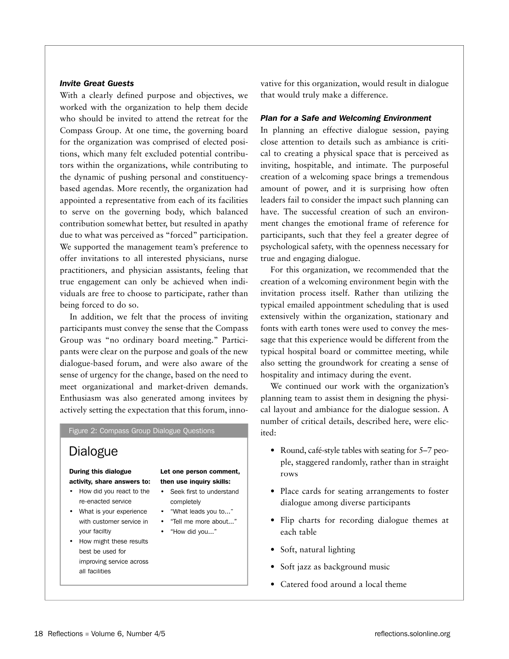#### *Invite Great Guests*

With a clearly defined purpose and objectives, we worked with the organization to help them decide who should be invited to attend the retreat for the Compass Group. At one time, the governing board for the organization was comprised of elected positions, which many felt excluded potential contributors within the organizations, while contributing to the dynamic of pushing personal and constituencybased agendas. More recently, the organization had appointed a representative from each of its facilities to serve on the governing body, which balanced contribution somewhat better, but resulted in apathy due to what was perceived as "forced" participation. We supported the management team's preference to offer invitations to all interested physicians, nurse practitioners, and physician assistants, feeling that true engagement can only be achieved when individuals are free to choose to participate, rather than being forced to do so.

In addition, we felt that the process of inviting participants must convey the sense that the Compass Group was "no ordinary board meeting." Participants were clear on the purpose and goals of the new dialogue-based forum, and were also aware of the sense of urgency for the change, based on the need to meet organizational and market-driven demands. Enthusiasm was also generated among invitees by actively setting the expectation that this forum, inno-

Figure 2: Compass Group Dialogue Questions

# Dialogue

During this dialogue activity, share answers to:

- How did you react to the re-enacted service
- What is your experience with customer service in your faciltiy
- How might these results best be used for improving service across all facilities

#### Let one person comment, then use inquiry skills:

- Seek first to understand
- completely
- "What leads you to..."
- "Tell me more about..."
	- "How did you..."

vative for this organization, would result in dialogue that would truly make a difference.

#### *Plan for a Safe and Welcoming Environment*

In planning an effective dialogue session, paying close attention to details such as ambiance is critical to creating a physical space that is perceived as inviting, hospitable, and intimate. The purposeful creation of a welcoming space brings a tremendous amount of power, and it is surprising how often leaders fail to consider the impact such planning can have. The successful creation of such an environment changes the emotional frame of reference for participants, such that they feel a greater degree of psychological safety, with the openness necessary for true and engaging dialogue.

For this organization, we recommended that the creation of a welcoming environment begin with the invitation process itself. Rather than utilizing the typical emailed appointment scheduling that is used extensively within the organization, stationary and fonts with earth tones were used to convey the message that this experience would be different from the typical hospital board or committee meeting, while also setting the groundwork for creating a sense of hospitality and intimacy during the event.

We continued our work with the organization's planning team to assist them in designing the physical layout and ambiance for the dialogue session. A number of critical details, described here, were elicited:

- Round, café-style tables with seating for 5–7 people, staggered randomly, rather than in straight rows
- Place cards for seating arrangements to foster dialogue among diverse participants
- Flip charts for recording dialogue themes at each table
- Soft, natural lighting
- Soft jazz as background music
- Catered food around a local theme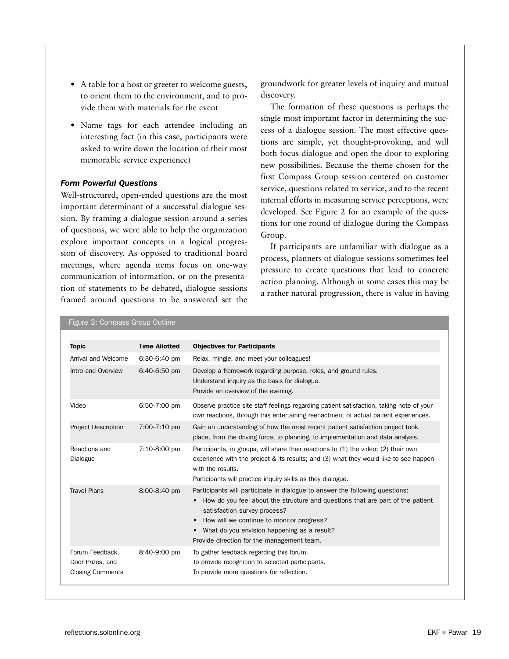- A table for a host or greeter to welcome guests, to orient them to the environment, and to provide them with materials for the event
- Name tags for each attendee including an interesting fact (in this case, participants were asked to write down the location of their most memorable service experience)

#### *Form Powerful Questions*

Well-structured, open-ended questions are the most important determinant of a successful dialogue session. By framing a dialogue session around a series of questions, we were able to help the organization explore important concepts in a logical progression of discovery. As opposed to traditional board meetings, where agenda items focus on one-way communication of information, or on the presentation of statements to be debated, dialogue sessions framed around questions to be answered set the

groundwork for greater levels of inquiry and mutual discovery.

The formation of these questions is perhaps the single most important factor in determining the success of a dialogue session. The most effective questions are simple, yet thought-provoking, and will both focus dialogue and open the door to exploring new possibilities. Because the theme chosen for the first Compass Group session centered on customer service, questions related to service, and to the recent internal efforts in measuring service perceptions, were developed. See Figure 2 for an example of the questions for one round of dialogue during the Compass Group.

If participants are unfamiliar with dialogue as a process, planners of dialogue sessions sometimes feel pressure to create questions that lead to concrete action planning. Although in some cases this may be a rather natural progression, there is value in having

| <b>Topic</b>                                                   | <b>Time Allotted</b> | <b>Objectives for Participants</b>                                                                                                                                                                                                                                                                                                       |
|----------------------------------------------------------------|----------------------|------------------------------------------------------------------------------------------------------------------------------------------------------------------------------------------------------------------------------------------------------------------------------------------------------------------------------------------|
| Arrival and Welcome                                            | $6:30-6:40$ pm       | Relax, mingle, and meet your colleagues!                                                                                                                                                                                                                                                                                                 |
| Intro and Overview                                             | 6:40-6:50 pm         | Develop a framework regarding purpose, roles, and ground rules.<br>Understand inquiry as the basis for dialogue.<br>Provide an overview of the evening.                                                                                                                                                                                  |
| Video                                                          | 6:50-7:00 pm         | Observe practice site staff feelings regarding patient satisfaction, taking note of your<br>own reactions, through this entertaining reenactment of actual patient experiences.                                                                                                                                                          |
| <b>Project Description</b>                                     | 7:00-7:10 pm         | Gain an understanding of how the most recent patient satisfaction project took<br>place, from the driving force, to planning, to implementation and data analysis.                                                                                                                                                                       |
| Reactions and<br>Dialogue                                      | 7:10-8:00 pm         | Participants, in groups, will share their reactions to (1) the video; (2) their own<br>experience with the project $&$ its results; and $(3)$ what they would like to see happen<br>with the results.<br>Participants will practice inquiry skills as they dialogue.                                                                     |
| <b>Travel Plans</b>                                            | 8:00-8:40 pm         | Participants will participate in dialogue to answer the following questions:<br>How do you feel about the structure and questions that are part of the patient<br>satisfaction survey process?<br>How will we continue to monitor progress?<br>What do you envision happening as a result?<br>Provide direction for the management team. |
| Forum Feedback,<br>Door Prizes, and<br><b>Closing Comments</b> | 8:40-9:00 pm         | To gather feedback regarding this forum.<br>To provide recognition to selected participants.<br>To provide more questions for reflection.                                                                                                                                                                                                |

#### Figure 3: Compass Group Outline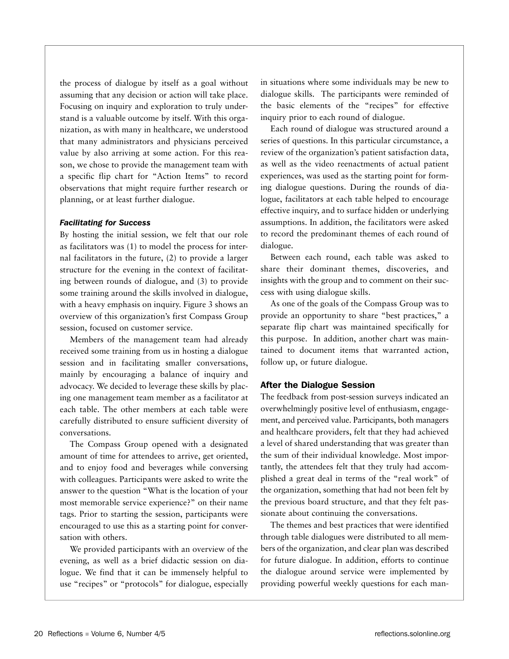the process of dialogue by itself as a goal without assuming that any decision or action will take place. Focusing on inquiry and exploration to truly understand is a valuable outcome by itself. With this organization, as with many in healthcare, we understood that many administrators and physicians perceived value by also arriving at some action. For this reason, we chose to provide the management team with a specific flip chart for "Action Items" to record observations that might require further research or planning, or at least further dialogue.

#### *Facilitating for Success*

By hosting the initial session, we felt that our role as facilitators was (1) to model the process for internal facilitators in the future, (2) to provide a larger structure for the evening in the context of facilitating between rounds of dialogue, and (3) to provide some training around the skills involved in dialogue, with a heavy emphasis on inquiry. Figure 3 shows an overview of this organization's first Compass Group session, focused on customer service.

Members of the management team had already received some training from us in hosting a dialogue session and in facilitating smaller conversations, mainly by encouraging a balance of inquiry and advocacy. We decided to leverage these skills by placing one management team member as a facilitator at each table. The other members at each table were carefully distributed to ensure sufficient diversity of conversations.

The Compass Group opened with a designated amount of time for attendees to arrive, get oriented, and to enjoy food and beverages while conversing with colleagues. Participants were asked to write the answer to the question "What is the location of your most memorable service experience?" on their name tags. Prior to starting the session, participants were encouraged to use this as a starting point for conversation with others.

We provided participants with an overview of the evening, as well as a brief didactic session on dialogue. We find that it can be immensely helpful to use "recipes" or "protocols" for dialogue, especially in situations where some individuals may be new to dialogue skills. The participants were reminded of the basic elements of the "recipes" for effective inquiry prior to each round of dialogue.

Each round of dialogue was structured around a series of questions. In this particular circumstance, a review of the organization's patient satisfaction data, as well as the video reenactments of actual patient experiences, was used as the starting point for forming dialogue questions. During the rounds of dialogue, facilitators at each table helped to encourage effective inquiry, and to surface hidden or underlying assumptions. In addition, the facilitators were asked to record the predominant themes of each round of dialogue.

Between each round, each table was asked to share their dominant themes, discoveries, and insights with the group and to comment on their success with using dialogue skills.

As one of the goals of the Compass Group was to provide an opportunity to share "best practices," a separate flip chart was maintained specifically for this purpose. In addition, another chart was maintained to document items that warranted action, follow up, or future dialogue.

#### After the Dialogue Session

The feedback from post-session surveys indicated an overwhelmingly positive level of enthusiasm, engagement, and perceived value. Participants, both managers and healthcare providers, felt that they had achieved a level of shared understanding that was greater than the sum of their individual knowledge. Most importantly, the attendees felt that they truly had accomplished a great deal in terms of the "real work" of the organization, something that had not been felt by the previous board structure, and that they felt passionate about continuing the conversations.

The themes and best practices that were identified through table dialogues were distributed to all members of the organization, and clear plan was described for future dialogue. In addition, efforts to continue the dialogue around service were implemented by providing powerful weekly questions for each man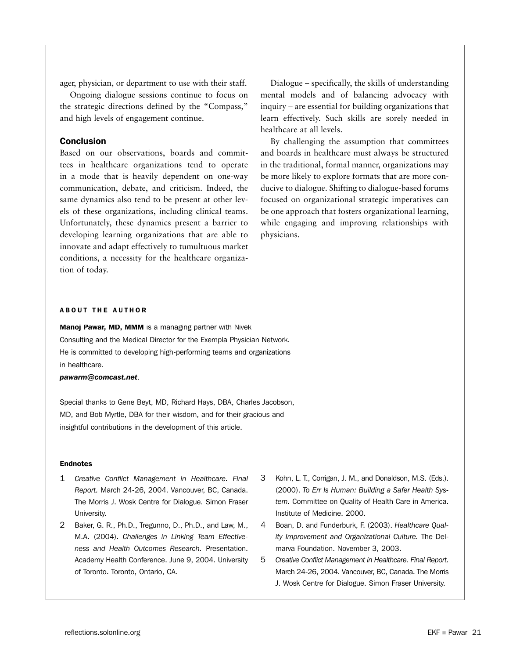ager, physician, or department to use with their staff.

Ongoing dialogue sessions continue to focus on the strategic directions defined by the "Compass," and high levels of engagement continue.

#### Conclusion

Based on our observations, boards and committees in healthcare organizations tend to operate in a mode that is heavily dependent on one-way communication, debate, and criticism. Indeed, the same dynamics also tend to be present at other levels of these organizations, including clinical teams. Unfortunately, these dynamics present a barrier to developing learning organizations that are able to innovate and adapt effectively to tumultuous market conditions, a necessity for the healthcare organization of today.

Dialogue – specifically, the skills of understanding mental models and of balancing advocacy with inquiry – are essential for building organizations that learn effectively. Such skills are sorely needed in healthcare at all levels.

By challenging the assumption that committees and boards in healthcare must always be structured in the traditional, formal manner, organizations may be more likely to explore formats that are more conducive to dialogue. Shifting to dialogue-based forums focused on organizational strategic imperatives can be one approach that fosters organizational learning, while engaging and improving relationships with physicians.

#### **ABOUT THE AUTHOR**

Manoj Pawar, MD, MMM is a managing partner with Nivek Consulting and the Medical Director for the Exempla Physician Network. He is committed to developing high-performing teams and organizations in healthcare.

#### *pawarm@comcast.net*.

Special thanks to Gene Beyt, MD, Richard Hays, DBA, Charles Jacobson, MD, and Bob Myrtle, DBA for their wisdom, and for their gracious and insightful contributions in the development of this article.

#### Endnotes

- 1 *Creative Conflict Management in Healthcare. Final Report.* March 24-26, 2004. Vancouver, BC, Canada. The Morris J. Wosk Centre for Dialogue. Simon Fraser University.
- 2 Baker, G. R., Ph.D., Tregunno, D., Ph.D., and Law, M., M.A. (2004). *Challenges in Linking Team Effectiveness and Health Outcomes Research.* Presentation. Academy Health Conference. June 9, 2004. University of Toronto. Toronto, Ontario, CA.
- 3 Kohn, L. T., Corrigan, J. M., and Donaldson, M.S. (Eds.). (2000). *To Err Is Human: Building a Safer Health System.* Committee on Quality of Health Care in America. Institute of Medicine. 2000.
- 4 Boan, D. and Funderburk, F. (2003). *Healthcare Quality Improvement and Organizational Culture.* The Delmarva Foundation. November 3, 2003.
- 5 *Creative Conflict Management in Healthcare. Final Report*. March 24-26, 2004. Vancouver, BC, Canada. The Morris J. Wosk Centre for Dialogue. Simon Fraser University.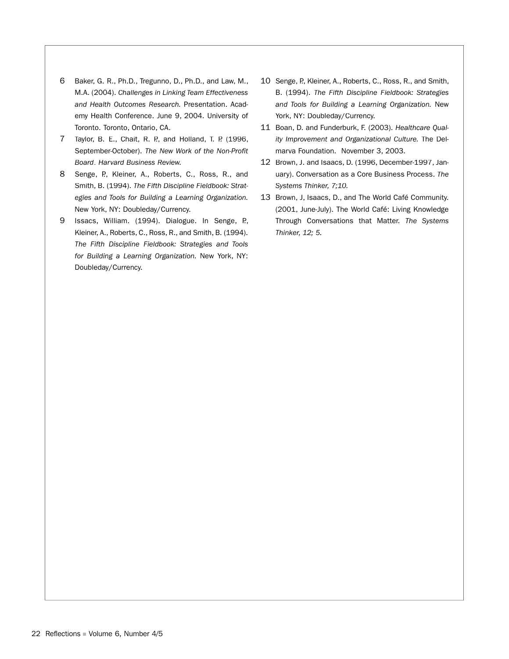- 6 Baker, G. R., Ph.D., Tregunno, D., Ph.D., and Law, M., M.A. (2004). *Challenges in Linking Team Effectiveness and Health Outcomes Research.* Presentation. Academy Health Conference. June 9, 2004. University of Toronto. Toronto, Ontario, CA.
- 7 Taylor, B. E., Chait, R. P., and Holland, T. P. (1996, September-October). *The New Work of the Non-Profit Board*. *Harvard Business Review.*
- 8 Senge, P., Kleiner, A., Roberts, C., Ross, R., and Smith, B. (1994). *The Fifth Discipline Fieldbook: Strategies and Tools for Building a Learning Organization.* New York, NY: Doubleday/Currency.
- 9 Issacs, William. (1994). Dialogue. In Senge, P., Kleiner, A., Roberts, C., Ross, R., and Smith, B. (1994). *The Fifth Discipline Fieldbook: Strategies and Tools for Building a Learning Organization.* New York, NY: Doubleday/Currency.
- 10 Senge, P., Kleiner, A., Roberts, C., Ross, R., and Smith, B. (1994). *The Fifth Discipline Fieldbook: Strategies and Tools for Building a Learning Organization.* New York, NY: Doubleday/Currency.
- 11 Boan, D. and Funderburk, F. (2003). *Healthcare Quality Improvement and Organizational Culture.* The Delmarva Foundation. November 3, 2003.
- 12 Brown, J. and Isaacs, D. (1996, December-1997, January). Conversation as a Core Business Process. *The Systems Thinker, 7;10.*
- 13 Brown, J, Isaacs, D., and The World Café Community. (2001, June-July). The World Café: Living Knowledge Through Conversations that Matter. *The Systems Thinker, 12; 5.*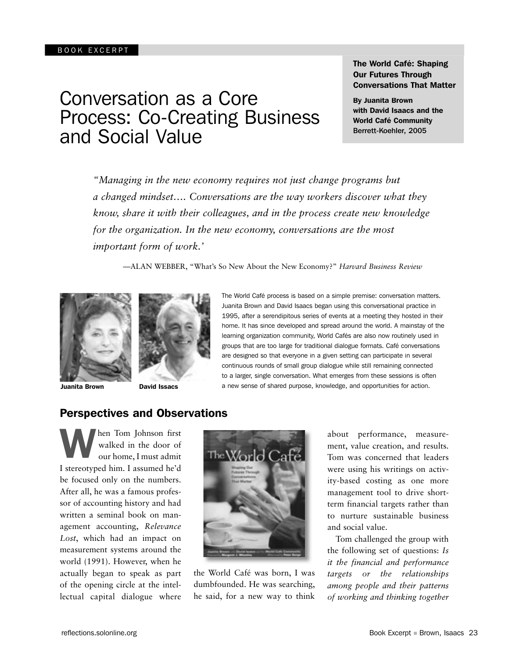# Conversation as a Core Process: Co-Creating Business and Social Value

The World Café: Shaping Our Futures Through Conversations That Matter

By Juanita Brown with David Isaacs and the World Café Community Berrett-Koehler, 2005

*"Managing in the new economy requires not just change programs but a changed mindset…. Conversations are the way workers discover what they know, share it with their colleagues, and in the process create new knowledge for the organization. In the new economy, conversations are the most important form of work.'*

—ALAN WEBBER, "What's So New About the New Economy?" *Harvard Business Review*



Juanita Brown David Issacs

The World Café process is based on a simple premise: conversation matters. Juanita Brown and David Isaacs began using this conversational practice in 1995, after a serendipitous series of events at a meeting they hosted in their home. It has since developed and spread around the world. A mainstay of the learning organization community, World Cafés are also now routinely used in groups that are too large for traditional dialogue formats. Café conversations are designed so that everyone in a given setting can participate in several continuous rounds of small group dialogue while still remaining connected to a larger, single conversation. What emerges from these sessions is often a new sense of shared purpose, knowledge, and opportunities for action.

# Perspectives and Observations

W hen Tom Johnson first walked in the door of our home, I must admit I stereotyped him. I assumed he'd be focused only on the numbers. After all, he was a famous professor of accounting history and had written a seminal book on management accounting, *Relevance Lost*, which had an impact on measurement systems around the world (1991). However, when he actually began to speak as part of the opening circle at the intellectual capital dialogue where



the World Café was born, I was dumbfounded. He was searching, he said, for a new way to think

about performance, measurement, value creation, and results. Tom was concerned that leaders were using his writings on activity-based costing as one more management tool to drive shortterm financial targets rather than to nurture sustainable business and social value.

 Tom challenged the group with the following set of questions: *Is it the financial and performance targets or the relationships among people and their patterns of working and thinking together*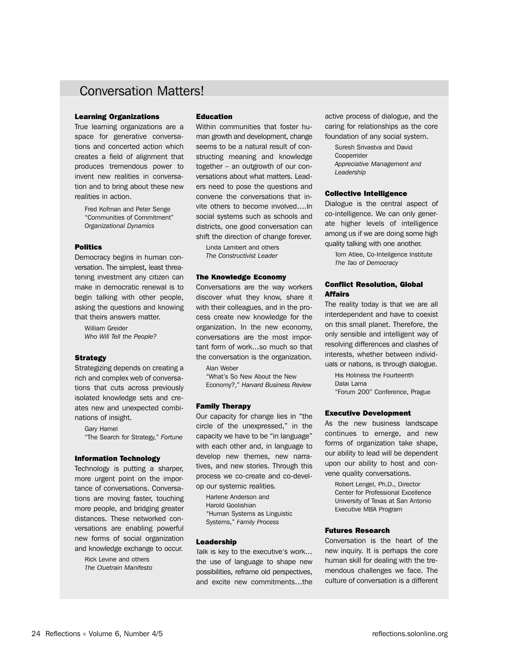# Conversation Matters!

#### Learning Organizations

True learning organizations are a space for generative conversations and concerted action which creates a field of alignment that produces tremendous power to invent new realities in conversation and to bring about these new realities in action.

Fred Kofman and Peter Senge "Communities of Commitment" *Organizational Dynamics*

#### **Politics**

Democracy begins in human conversation. The simplest, least threatening investment any citizen can make in democratic renewal is to begin talking with other people, asking the questions and knowing that theirs answers matter.

William Greider *Who Will Tell the People?*

#### Strategy

Strategizing depends on creating a rich and complex web of conversations that cuts across previously isolated knowledge sets and creates new and unexpected combinations of insight.

Gary Hamel "The Search for Strategy," *Fortune*

#### Information Technology

Technology is putting a sharper, more urgent point on the importance of conversations. Conversations are moving faster, touching more people, and bridging greater distances. These networked conversations are enabling powerful new forms of social organization and knowledge exchange to occur.

Rick Levine and others *The Cluetrain Manifesto*

#### Education

Within communities that foster human growth and development, change seems to be a natural result of constructing meaning and knowledge together – an outgrowth of our conversations about what matters. Leaders need to pose the questions and convene the conversations that invite others to become involved….In social systems such as schools and districts, one good conversation can shift the direction of change forever.

Linda Lambert and others *The Constructivist Leader*

#### The Knowledge Economy

Conversations are the way workers discover what they know, share it with their colleagues, and in the process create new knowledge for the organization. In the new economy, conversations are the most important form of work…so much so that the conversation is the organization.

Alan Weber "What's So New About the New Economy?," *Harvard Business Review*

#### Family Therapy

Our capacity for change lies in "the circle of the unexpressed," in the capacity we have to be "in language" with each other and, in language to develop new themes, new narratives, and new stories. Through this process we co-create and co-develop our systemic realities.

Harlene Anderson and Harold Goolishian "Human Systems as Linguistic Systems," *Family Process*

#### Leadership

Talk is key to the executive's work… the use of language to shape new possibilities, reframe old perspectives, and excite new commitments…the active process of dialogue, and the caring for relationships as the core foundation of any social system.

Suresh Srivastva and David Cooperrider *Appreciative Management and Leadership*

#### Collective Intelligence

Dialogue is the central aspect of co-intelligence. We can only generate higher levels of intelligence among us if we are doing some high quality talking with one another.

Tom Atlee, Co-Intellgence Institute *The Tao of Democracy*

#### Conflict Resolution, Global Affairs

The reality today is that we are all interdependent and have to coexist on this small planet. Therefore, the only sensible and intelligent way of resolving differences and clashes of interests, whether between individuals or nations, is through dialogue.

His Holiness the Fourteenth Dalai Lama "Forum 200" Conference, Prague

#### Executive Development

As the new business landscape continues to emerge, and new forms of organization take shape, our ability to lead will be dependent upon our ability to host and convene quality conversations.

Robert Lengel, Ph.D., Director Center for Professional Excellence University of Texas at San Antonio Executive MBA Program

#### Futures Research

Conversation is the heart of the new inquiry. It is perhaps the core human skill for dealing with the tremendous challenges we face. The culture of conversation is a different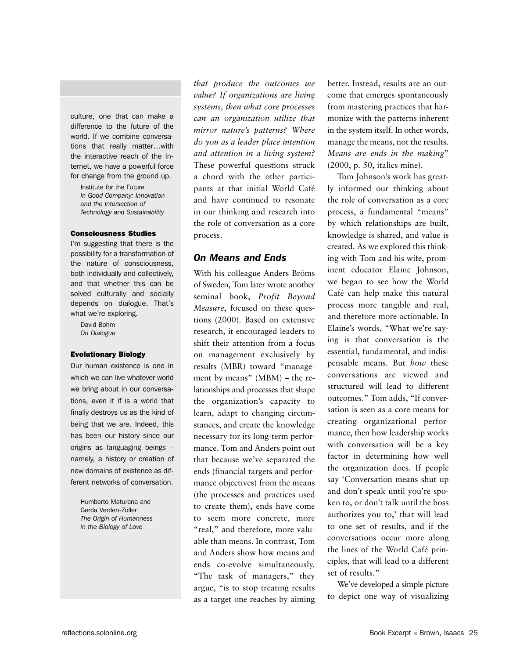culture, one that can make a difference to the future of the world. If we combine conversations that really matter…with the interactive reach of the Internet, we have a powerful force for change from the ground up.

Institute for the Future *In Good Company: Innovation and the Intersection of Technology and Sustainability*

#### Consciousness Studies

I'm suggesting that there is the possibility for a transformation of the nature of consciousness, both individually and collectively, and that whether this can be solved culturally and socially depends on dialogue. That's what we're exploring.

David Bohm *On Dialogue*

#### Evolutionary Biology

Our human existence is one in which we can live whatever world we bring about in our conversations, even it if is a world that finally destroys us as the kind of being that we are. Indeed, this has been our history since our origins as languaging beings – namely, a history or creation of new domains of existence as different networks of conversation.

Humberto Maturana and Gerda Verden-Zöller *The Origin of Humanness in the Biology of Love*

*that produce the outcomes we value? If organizations are living systems, then what core processes can an organization utilize that mirror nature's patterns? Where do you as a leader place intention and attention in a living system?* These powerful questions struck a chord with the other participants at that initial World Café and have continued to resonate in our thinking and research into the role of conversation as a core process.

#### *On Means and Ends*

With his colleague Anders Bröms of Sweden, Tom later wrote another seminal book, *Profit Beyond Measure*, focused on these questions (2000). Based on extensive research, it encouraged leaders to shift their attention from a focus on management exclusively by results (MBR) toward "management by means" (MBM) – the relationships and processes that shape the organization's capacity to learn, adapt to changing circumstances, and create the knowledge necessary for its long-term performance. Tom and Anders point out that because we've separated the ends (financial targets and performance objectives) from the means (the processes and practices used to create them), ends have come to seem more concrete, more "real," and therefore, more valuable than means. In contrast, Tom and Anders show how means and ends co-evolve simultaneously. "The task of managers," they argue, "is to stop treating results as a target one reaches by aiming

better. Instead, results are an outcome that emerges spontaneously from mastering practices that harmonize with the patterns inherent in the system itself. In other words, manage the means, not the results. *Means are ends in the making*" (2000, p. 50, italics mine).

Tom Johnson's work has greatly informed our thinking about the role of conversation as a core process, a fundamental "means" by which relationships are built, knowledge is shared, and value is created. As we explored this thinking with Tom and his wife, prominent educator Elaine Johnson, we began to see how the World Café can help make this natural process more tangible and real, and therefore more actionable. In Elaine's words, "What we're saying is that conversation is the essential, fundamental, and indispensable means. But *how* these conversations are viewed and structured will lead to different outcomes." Tom adds, "If conversation is seen as a core means for creating organizational performance, then how leadership works with conversation will be a key factor in determining how well the organization does. If people say 'Conversation means shut up and don't speak until you're spoken to, or don't talk until the boss authorizes you to,' that will lead to one set of results, and if the conversations occur more along the lines of the World Café principles, that will lead to a different set of results."

We've developed a simple picture to depict one way of visualizing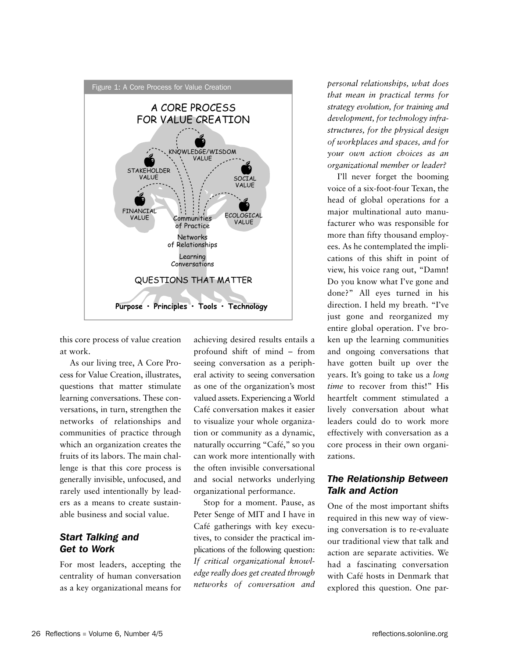

this core process of value creation at work.

As our living tree, A Core Process for Value Creation, illustrates, questions that matter stimulate learning conversations. These conversations, in turn, strengthen the networks of relationships and communities of practice through which an organization creates the fruits of its labors. The main challenge is that this core process is generally invisible, unfocused, and rarely used intentionally by leaders as a means to create sustainable business and social value.

# *Start Talking and Get to Work*

For most leaders, accepting the centrality of human conversation as a key organizational means for

achieving desired results entails a profound shift of mind – from seeing conversation as a peripheral activity to seeing conversation as one of the organization's most valued assets. Experiencing a World Café conversation makes it easier to visualize your whole organization or community as a dynamic, naturally occurring "Café," so you can work more intentionally with the often invisible conversational and social networks underlying organizational performance.

Stop for a moment. Pause, as Peter Senge of MIT and I have in Café gatherings with key executives, to consider the practical implications of the following question: *If critical organizational knowledge really does get created through networks of conversation and*  *personal relationships, what does that mean in practical terms for strategy evolution, for training and development, for technology infrastructures, for the physical design of workplaces and spaces, and for your own action choices as an organizational member or leader?*

I'll never forget the booming voice of a six-foot-four Texan, the head of global operations for a major multinational auto manufacturer who was responsible for more than fifty thousand employees. As he contemplated the implications of this shift in point of view, his voice rang out, "Damn! Do you know what I've gone and done?" All eyes turned in his direction. I held my breath. "I've just gone and reorganized my entire global operation. I've broken up the learning communities and ongoing conversations that have gotten built up over the years. It's going to take us a *long time* to recover from this!" His heartfelt comment stimulated a lively conversation about what leaders could do to work more effectively with conversation as a core process in their own organizations.

# *The Relationship Between Talk and Action*

One of the most important shifts required in this new way of viewing conversation is to re-evaluate our traditional view that talk and action are separate activities. We had a fascinating conversation with Café hosts in Denmark that explored this question. One par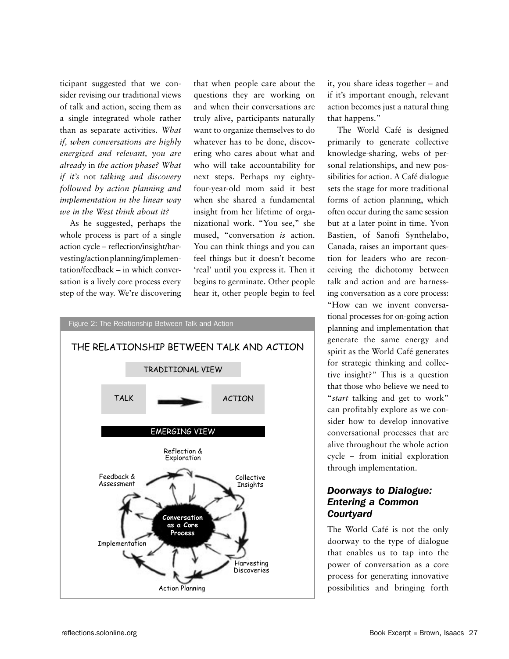ticipant suggested that we consider revising our traditional views of talk and action, seeing them as a single integrated whole rather than as separate activities. *What if, when conversations are highly energized and relevant, you are already* in *the action phase? What if it's* not *talking and discovery followed by action planning and implementation in the linear way we in the West think about it?*

As he suggested, perhaps the whole process is part of a single action cycle – reflection/insight/harvesting/action planning/implementation/feedback – in which conversation is a lively core process every step of the way. We're discovering that when people care about the questions they are working on and when their conversations are truly alive, participants naturally want to organize themselves to do whatever has to be done, discovering who cares about what and who will take accountability for next steps. Perhaps my eightyfour-year-old mom said it best when she shared a fundamental insight from her lifetime of organizational work. "You see," she mused, "conversation *is* action. You can think things and you can feel things but it doesn't become 'real' until you express it. Then it begins to germinate. Other people hear it, other people begin to feel



it, you share ideas together – and if it's important enough, relevant action becomes just a natural thing that happens."

The World Café is designed primarily to generate collective knowledge-sharing, webs of personal relationships, and new possibilities for action. A Café dialogue sets the stage for more traditional forms of action planning, which often occur during the same session but at a later point in time. Yvon Bastien, of Sanofi Synthelabo, Canada, raises an important question for leaders who are reconceiving the dichotomy between talk and action and are harnessing conversation as a core process: "How can we invent conversational processes for on-going action planning and implementation that generate the same energy and spirit as the World Café generates for strategic thinking and collective insight?" This is a question that those who believe we need to "*start* talking and get to work" can profitably explore as we consider how to develop innovative conversational processes that are alive throughout the whole action cycle – from initial exploration through implementation.

# *Doorways to Dialogue: Entering a Common Courtyard*

The World Café is not the only doorway to the type of dialogue that enables us to tap into the power of conversation as a core process for generating innovative possibilities and bringing forth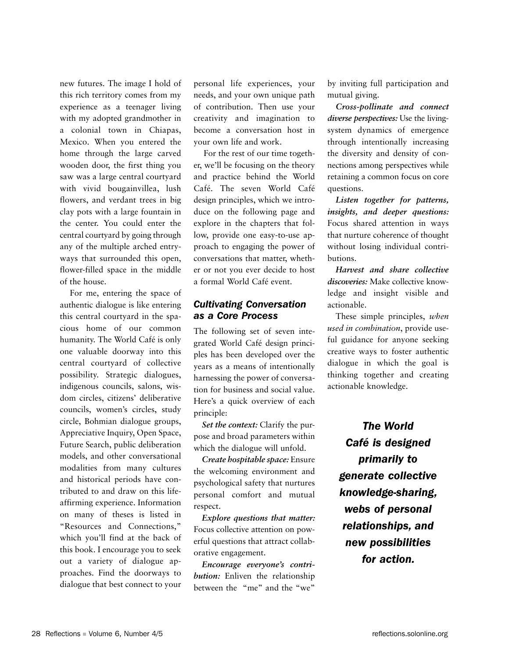new futures. The image I hold of this rich territory comes from my experience as a teenager living with my adopted grandmother in a colonial town in Chiapas, Mexico. When you entered the home through the large carved wooden door, the first thing you saw was a large central courtyard with vivid bougainvillea, lush flowers, and verdant trees in big clay pots with a large fountain in the center. You could enter the central courtyard by going through any of the multiple arched entryways that surrounded this open, flower-filled space in the middle of the house.

For me, entering the space of authentic dialogue is like entering this central courtyard in the spacious home of our common humanity. The World Café is only one valuable doorway into this central courtyard of collective possibility. Strategic dialogues, indigenous councils, salons, wisdom circles, citizens' deliberative councils, women's circles, study circle, Bohmian dialogue groups, Appreciative Inquiry, Open Space, Future Search, public deliberation models, and other conversational modalities from many cultures and historical periods have contributed to and draw on this lifeaffirming experience. Information on many of theses is listed in "Resources and Connections," which you'll find at the back of this book. I encourage you to seek out a variety of dialogue approaches. Find the doorways to dialogue that best connect to your personal life experiences, your needs, and your own unique path of contribution. Then use your creativity and imagination to become a conversation host in your own life and work.

For the rest of our time together, we'll be focusing on the theory and practice behind the World Café. The seven World Café design principles, which we introduce on the following page and explore in the chapters that follow, provide one easy-to-use approach to engaging the power of conversations that matter, whether or not you ever decide to host a formal World Café event.

# *Cultivating Conversation as a Core Process*

The following set of seven integrated World Café design principles has been developed over the years as a means of intentionally harnessing the power of conversation for business and social value. Here's a quick overview of each principle:

*Set the context:* Clarify the purpose and broad parameters within which the dialogue will unfold.

*Create hospitable space:* Ensure the welcoming environment and psychological safety that nurtures personal comfort and mutual respect.

*Explore questions that matter:* Focus collective attention on powerful questions that attract collaborative engagement.

*Encourage everyone's contribution:* Enliven the relationship between the "me" and the "we"

by inviting full participation and mutual giving.

*Cross-pollinate and connect diverse perspectives:* Use the livingsystem dynamics of emergence through intentionally increasing the diversity and density of connections among perspectives while retaining a common focus on core questions.

*Listen together for patterns, insights, and deeper questions:* Focus shared attention in ways that nurture coherence of thought without losing individual contributions.

*Harvest and share collective discoveries:* Make collective knowledge and insight visible and actionable.

 These simple principles, *when used in combination*, provide useful guidance for anyone seeking creative ways to foster authentic dialogue in which the goal is thinking together and creating actionable knowledge.

*The World Café is designed primarily to generate collective knowledge-sharing, webs of personal relationships, and new possibilities for action.*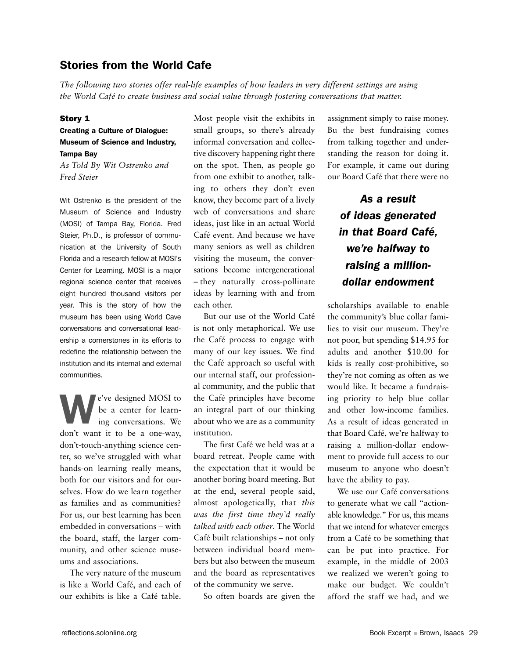# Stories from the World Cafe

*The following two stories offer real-life examples of how leaders in very different settings are using the World Café to create business and social value through fostering conversations that matter.*

#### Story 1

Creating a Culture of Dialogue: Museum of Science and Industry, Tampa Bay

*As Told By Wit Ostrenko and Fred Steier*

Wit Ostrenko is the president of the Museum of Science and Industry (MOSI) of Tampa Bay, Florida. Fred Steier, Ph.D., is professor of communication at the University of South Florida and a research fellow at MOSI's Center for Learning. MOSI is a major regional science center that receives eight hundred thousand visitors per year. This is the story of how the museum has been using World Cave conversations and conversational leadership a cornerstones in its efforts to redefine the relationship between the institution and its internal and external communities.

W e've designed MOSI to be a center for learning conversations. We don't want it to be a one-way, don't-touch-anything science center, so we've struggled with what hands-on learning really means, both for our visitors and for ourselves. How do we learn together as families and as communities? For us, our best learning has been embedded in conversations – with the board, staff, the larger community, and other science museums and associations.

The very nature of the museum is like a World Café, and each of our exhibits is like a Café table.

Most people visit the exhibits in small groups, so there's already informal conversation and collective discovery happening right there on the spot. Then, as people go from one exhibit to another, talking to others they don't even know, they become part of a lively web of conversations and share ideas, just like in an actual World Café event. And because we have many seniors as well as children visiting the museum, the conversations become intergenerational – they naturally cross-pollinate ideas by learning with and from each other.

But our use of the World Café is not only metaphorical. We use the Café process to engage with many of our key issues. We find the Café approach so useful with our internal staff, our professional community, and the public that the Café principles have become an integral part of our thinking about who we are as a community institution.

The first Café we held was at a board retreat. People came with the expectation that it would be another boring board meeting. But at the end, several people said, almost apologetically, that *this was the first time they'd really talked with each other*. The World Café built relationships – not only between individual board members but also between the museum and the board as representatives of the community we serve.

So often boards are given the

assignment simply to raise money. Bu the best fundraising comes from talking together and understanding the reason for doing it. For example, it came out during our Board Café that there were no

# *As a result of ideas generated in that Board Café, we're halfway to raising a milliondollar endowment*

scholarships available to enable the community's blue collar families to visit our museum. They're not poor, but spending \$14.95 for adults and another \$10.00 for kids is really cost-prohibitive, so they're not coming as often as we would like. It became a fundraising priority to help blue collar and other low-income families. As a result of ideas generated in that Board Café, we're halfway to raising a million-dollar endowment to provide full access to our museum to anyone who doesn't have the ability to pay.

We use our Café conversations to generate what we call "actionable knowledge." For us, this means that we intend for whatever emerges from a Café to be something that can be put into practice. For example, in the middle of 2003 we realized we weren't going to make our budget. We couldn't afford the staff we had, and we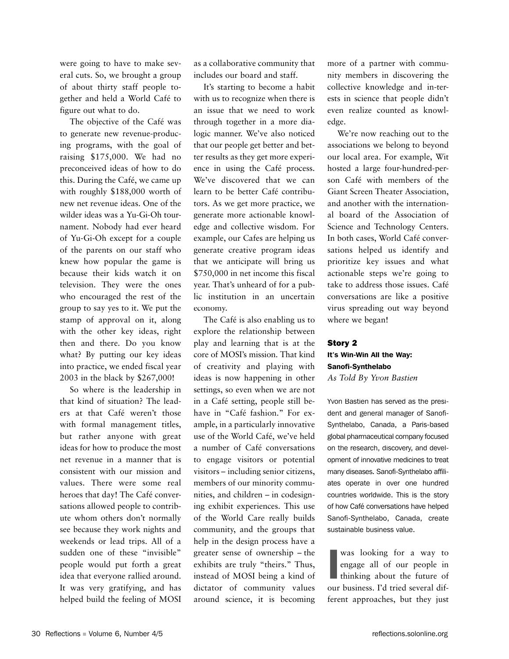were going to have to make several cuts. So, we brought a group of about thirty staff people together and held a World Café to figure out what to do.

The objective of the Café was to generate new revenue-producing programs, with the goal of raising \$175,000. We had no preconceived ideas of how to do this. During the Café, we came up with roughly \$188,000 worth of new net revenue ideas. One of the wilder ideas was a Yu-Gi-Oh tournament. Nobody had ever heard of Yu-Gi-Oh except for a couple of the parents on our staff who knew how popular the game is because their kids watch it on television. They were the ones who encouraged the rest of the group to say yes to it. We put the stamp of approval on it, along with the other key ideas, right then and there. Do you know what? By putting our key ideas into practice, we ended fiscal year 2003 in the black by \$267,000!

So where is the leadership in that kind of situation? The leaders at that Café weren't those with formal management titles, but rather anyone with great ideas for how to produce the most net revenue in a manner that is consistent with our mission and values. There were some real heroes that day! The Café conversations allowed people to contribute whom others don't normally see because they work nights and weekends or lead trips. All of a sudden one of these "invisible" people would put forth a great idea that everyone rallied around. It was very gratifying, and has helped build the feeling of MOSI

as a collaborative community that includes our board and staff.

It's starting to become a habit with us to recognize when there is an issue that we need to work through together in a more dialogic manner. We've also noticed that our people get better and better results as they get more experience in using the Café process. We've discovered that we can learn to be better Café contributors. As we get more practice, we generate more actionable knowledge and collective wisdom. For example, our Cafes are helping us generate creative program ideas that we anticipate will bring us \$750,000 in net income this fiscal year. That's unheard of for a public institution in an uncertain economy.

The Café is also enabling us to explore the relationship between play and learning that is at the core of MOSI's mission. That kind of creativity and playing with ideas is now happening in other settings, so even when we are not in a Café setting, people still behave in "Café fashion." For example, in a particularly innovative use of the World Café, we've held a number of Café conversations to engage visitors or potential visitors – including senior citizens, members of our minority communities, and children – in codesigning exhibit experiences. This use of the World Care really builds community, and the groups that help in the design process have a greater sense of ownership – the exhibits are truly "theirs." Thus, instead of MOSI being a kind of dictator of community values around science, it is becoming

more of a partner with community members in discovering the collective knowledge and in-terests in science that people didn't even realize counted as knowledge.

We're now reaching out to the associations we belong to beyond our local area. For example, Wit hosted a large four-hundred-person Café with members of the Giant Screen Theater Association, and another with the international board of the Association of Science and Technology Centers. In both cases, World Café conversations helped us identify and prioritize key issues and what actionable steps we're going to take to address those issues. Café conversations are like a positive virus spreading out way beyond where we began!

# Story 2 It's Win-Win All the Way: Sanofi-Synthelabo *As Told By Yvon Bastien*

Yvon Bastien has served as the president and general manager of Sanofi-Synthelabo, Canada, a Paris-based global pharmaceutical company focused on the research, discovery, and development of innovative medicines to treat many diseases. Sanofi-Synthelabo affiliates operate in over one hundred countries worldwide. This is the story of how Café conversations have helped Sanofi-Synthelabo, Canada, create sustainable business value.

was looking for a way to engage all of our people in thinking about the future of was looking for a way to<br>engage all of our people in<br>thinking about the future of<br>our business. I'd tried several different approaches, but they just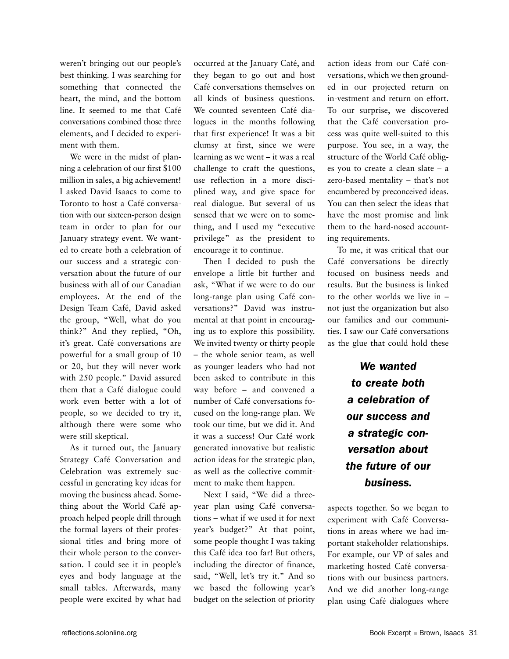weren't bringing out our people's best thinking. I was searching for something that connected the heart, the mind, and the bottom line. It seemed to me that Café conversations combined those three elements, and I decided to experiment with them.

We were in the midst of planning a celebration of our first \$100 million in sales, a big achievement! I asked David Isaacs to come to Toronto to host a Café conversation with our sixteen-person design team in order to plan for our January strategy event. We wanted to create both a celebration of our success and a strategic conversation about the future of our business with all of our Canadian employees. At the end of the Design Team Café, David asked the group, "Well, what do you think?" And they replied, "Oh, it's great. Café conversations are powerful for a small group of 10 or 20, but they will never work with 250 people." David assured them that a Café dialogue could work even better with a lot of people, so we decided to try it, although there were some who were still skeptical.

As it turned out, the January Strategy Café Conversation and Celebration was extremely successful in generating key ideas for moving the business ahead. Something about the World Café approach helped people drill through the formal layers of their professional titles and bring more of their whole person to the conversation. I could see it in people's eyes and body language at the small tables. Afterwards, many people were excited by what had occurred at the January Café, and they began to go out and host Café conversations themselves on all kinds of business questions. We counted seventeen Café dialogues in the months following that first experience! It was a bit clumsy at first, since we were learning as we went – it was a real challenge to craft the questions, use reflection in a more disciplined way, and give space for real dialogue. But several of us sensed that we were on to something, and I used my "executive privilege" as the president to encourage it to continue.

Then I decided to push the envelope a little bit further and ask, "What if we were to do our long-range plan using Café conversations?" David was instrumental at that point in encouraging us to explore this possibility. We invited twenty or thirty people – the whole senior team, as well as younger leaders who had not been asked to contribute in this way before – and convened a number of Café conversations focused on the long-range plan. We took our time, but we did it. And it was a success! Our Café work generated innovative but realistic action ideas for the strategic plan, as well as the collective commitment to make them happen.

Next I said, "We did a threeyear plan using Café conversations – what if we used it for next year's budget?" At that point, some people thought I was taking this Café idea too far! But others, including the director of finance, said, "Well, let's try it." And so we based the following year's budget on the selection of priority action ideas from our Café conversations, which we then grounded in our projected return on in-vestment and return on effort. To our surprise, we discovered that the Café conversation process was quite well-suited to this purpose. You see, in a way, the structure of the World Café obliges you to create a clean slate – a zero-based mentality – that's not encumbered by preconceived ideas. You can then select the ideas that have the most promise and link them to the hard-nosed accounting requirements.

To me, it was critical that our Café conversations be directly focused on business needs and results. But the business is linked to the other worlds we live in – not just the organization but also our families and our communities. I saw our Café conversations as the glue that could hold these

> *We wanted to create both a celebration of our success and a strategic conversation about the future of our business.*

aspects together. So we began to experiment with Café Conversations in areas where we had important stakeholder relationships. For example, our VP of sales and marketing hosted Café conversations with our business partners. And we did another long-range plan using Café dialogues where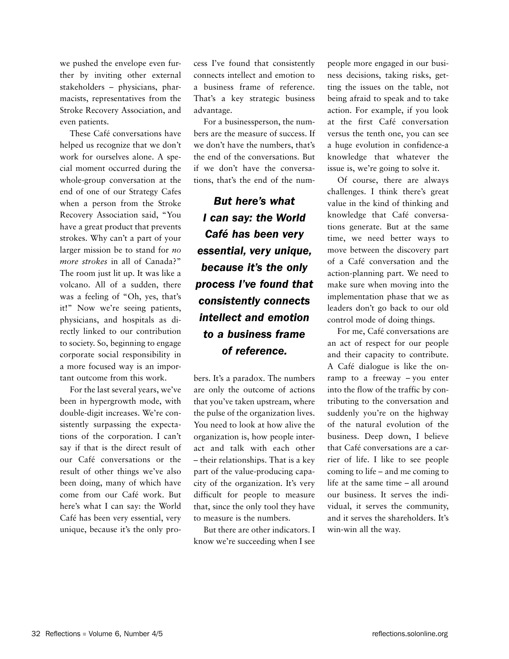we pushed the envelope even further by inviting other external stakeholders – physicians, pharmacists, representatives from the Stroke Recovery Association, and even patients.

These Café conversations have helped us recognize that we don't work for ourselves alone. A special moment occurred during the whole-group conversation at the end of one of our Strategy Cafes when a person from the Stroke Recovery Association said, "You have a great product that prevents strokes. Why can't a part of your larger mission be to stand for *no more strokes* in all of Canada?" The room just lit up. It was like a volcano. All of a sudden, there was a feeling of "Oh, yes, that's it!" Now we're seeing patients, physicians, and hospitals as directly linked to our contribution to society. So, beginning to engage corporate social responsibility in a more focused way is an important outcome from this work.

For the last several years, we've been in hypergrowth mode, with double-digit increases. We're consistently surpassing the expectations of the corporation. I can't say if that is the direct result of our Café conversations or the result of other things we've also been doing, many of which have come from our Café work. But here's what I can say: the World Café has been very essential, very unique, because it's the only process I've found that consistently connects intellect and emotion to a business frame of reference. That's a key strategic business advantage.

For a businessperson, the numbers are the measure of success. If we don't have the numbers, that's the end of the conversations. But if we don't have the conversations, that's the end of the num-

*But here's what I can say: the World Café has been very essential, very unique, because it's the only process I've found that consistently connects intellect and emotion to a business frame of reference.* 

bers. It's a paradox. The numbers are only the outcome of actions that you've taken upstream, where the pulse of the organization lives. You need to look at how alive the organization is, how people interact and talk with each other – their relationships. That is a key part of the value-producing capacity of the organization. It's very difficult for people to measure that, since the only tool they have to measure is the numbers.

But there are other indicators. I know we're succeeding when I see people more engaged in our business decisions, taking risks, getting the issues on the table, not being afraid to speak and to take action. For example, if you look at the first Café conversation versus the tenth one, you can see a huge evolution in confidence-a knowledge that whatever the issue is, we're going to solve it.

Of course, there are always challenges. I think there's great value in the kind of thinking and knowledge that Café conversations generate. But at the same time, we need better ways to move between the discovery part of a Café conversation and the action-planning part. We need to make sure when moving into the implementation phase that we as leaders don't go back to our old control mode of doing things.

For me, Café conversations are an act of respect for our people and their capacity to contribute. A Café dialogue is like the onramp to a freeway – you enter into the flow of the traffic by contributing to the conversation and suddenly you're on the highway of the natural evolution of the business. Deep down, I believe that Café conversations are a carrier of life. I like to see people coming to life – and me coming to life at the same time – all around our business. It serves the individual, it serves the community, and it serves the shareholders. It's win-win all the way.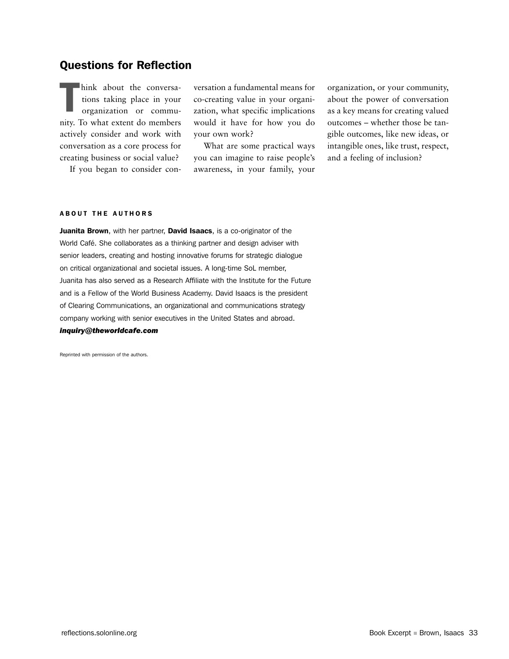# Questions for Reflection

hink about the conversations taking place in your organization or community. To what extent do members actively consider and work with conversation as a core process for creating business or social value? T

If you began to consider con-

versation a fundamental means for co-creating value in your organization, what specific implications would it have for how you do your own work?

What are some practical ways you can imagine to raise people's awareness, in your family, your

organization, or your community, about the power of conversation as a key means for creating valued outcomes – whether those be tangible outcomes, like new ideas, or intangible ones, like trust, respect, and a feeling of inclusion?

#### **ABOUT THE AUTHORS**

Juanita Brown, with her partner, David Isaacs, is a co-originator of the World Café. She collaborates as a thinking partner and design adviser with senior leaders, creating and hosting innovative forums for strategic dialogue on critical organizational and societal issues. A long-time SoL member, Juanita has also served as a Research Affiliate with the Institute for the Future and is a Fellow of the World Business Academy. David Isaacs is the president of Clearing Communications, an organizational and communications strategy company working with senior executives in the United States and abroad.

*inquiry@theworldcafe.com*

Reprinted with permission of the authors.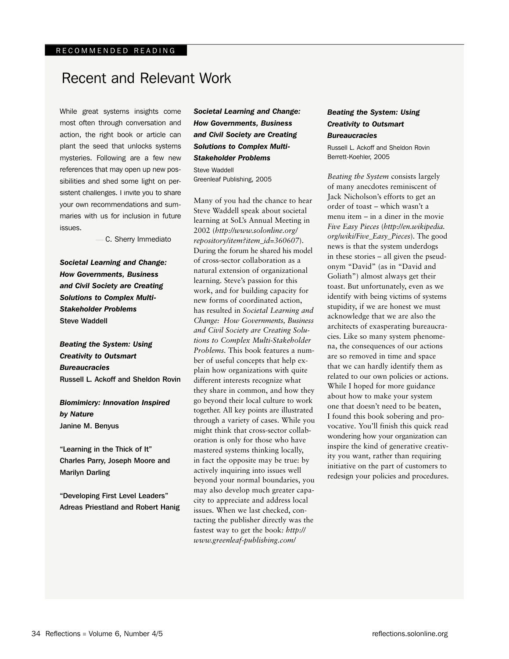#### R E C O M M E N D E D R E A D I N G

# Recent and Relevant Work

While great systems insights come most often through conversation and action, the right book or article can plant the seed that unlocks systems mysteries. Following are a few new references that may open up new possibilities and shed some light on persistent challenges. I invite you to share your own recommendations and summaries with us for inclusion in future issues.

— C. Sherry Immediato

*Societal Learning and Change: How Governments, Business and Civil Society are Creating Solutions to Complex Multi-Stakeholder Problems*  Steve Waddell

*Beating the System: Using Creativity to Outsmart Bureaucracies* Russell L. Ackoff and Sheldon Rovin

*Biomimicry: Innovation Inspired by Nature* Janine M. Benyus

"Learning in the Thick of It" Charles Parry, Joseph Moore and Marilyn Darling

"Developing First Level Leaders" Adreas Priestland and Robert Hanig *Societal Learning and Change: How Governments, Business and Civil Society are Creating Solutions to Complex Multi-Stakeholder Problems*  Steve Waddell

Greenleaf Publishing, 2005

Many of you had the chance to hear Steve Waddell speak about societal learning at SoL's Annual Meeting in 2002 (*http://www.solonline.org/ repository/item?item\_id=360607*). During the forum he shared his model of cross-sector collaboration as a natural extension of organizational learning. Steve's passion for this work, and for building capacity for new forms of coordinated action, has resulted in *Societal Learning and Change: How Governments, Business and Civil Society are Creating Solutions to Complex Multi-Stakeholder Problems.* This book features a number of useful concepts that help explain how organizations with quite different interests recognize what they share in common, and how they go beyond their local culture to work together. All key points are illustrated through a variety of cases. While you might think that cross-sector collaboration is only for those who have mastered systems thinking locally, in fact the opposite may be true: by actively inquiring into issues well beyond your normal boundaries, you may also develop much greater capacity to appreciate and address local issues. When we last checked, contacting the publisher directly was the fastest way to get the book*: http:// www.greenleaf-publishing.com/*

## *Beating the System: Using Creativity to Outsmart Bureaucracies*

Russell L. Ackoff and Sheldon Rovin Berrett-Koehler, 2005

*Beating the System* consists largely of many anecdotes reminiscent of Jack Nicholson's efforts to get an order of toast – which wasn't a menu item – in a diner in the movie *Five Easy Pieces* (*http://en.wikipedia. org/wiki/Five\_Easy\_Pieces*). The good news is that the system underdogs in these stories – all given the pseudonym "David" (as in "David and Goliath") almost always get their toast. But unfortunately, even as we identify with being victims of systems stupidity, if we are honest we must acknowledge that we are also the architects of exasperating bureaucracies. Like so many system phenomena, the consequences of our actions are so removed in time and space that we can hardly identify them as related to our own policies or actions. While I hoped for more guidance about how to make your system one that doesn't need to be beaten, I found this book sobering and provocative. You'll finish this quick read wondering how your organization can inspire the kind of generative creativity you want, rather than requiring initiative on the part of customers to redesign your policies and procedures.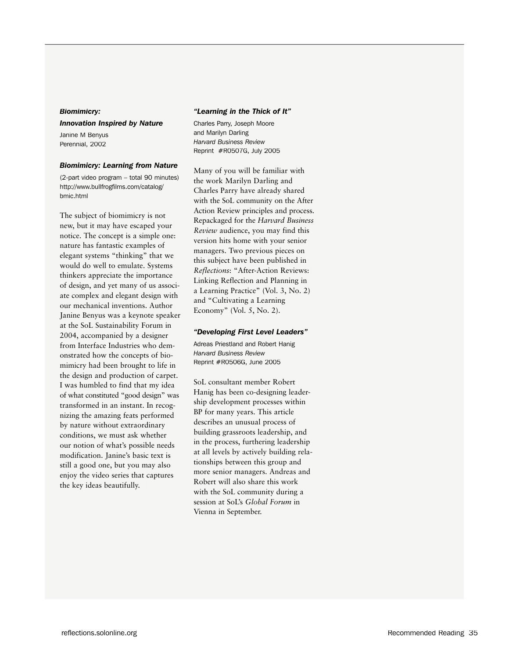#### *Biomimicry:*

*Innovation Inspired by Nature* Janine M Benyus Perennial, 2002

#### *Biomimicry: Learning from Nature*

(2-part video program – total 90 minutes) http://www.bullfrogfilms.com/catalog/ bmic.html

The subject of biomimicry is not new, but it may have escaped your notice. The concept is a simple one: nature has fantastic examples of elegant systems "thinking" that we would do well to emulate. Systems thinkers appreciate the importance of design, and yet many of us associate complex and elegant design with our mechanical inventions. Author Janine Benyus was a keynote speaker at the SoL Sustainability Forum in 2004, accompanied by a designer from Interface Industries who demonstrated how the concepts of biomimicry had been brought to life in the design and production of carpet. I was humbled to find that my idea of what constituted "good design" was transformed in an instant. In recognizing the amazing feats performed by nature without extraordinary conditions, we must ask whether our notion of what's possible needs modification. Janine's basic text is still a good one, but you may also enjoy the video series that captures the key ideas beautifully.

#### *"Learning in the Thick of It"*

Charles Parry, Joseph Moore and Marilyn Darling *Harvard Business Review* Reprint #R0507G, July 2005

Many of you will be familiar with the work Marilyn Darling and Charles Parry have already shared with the SoL community on the After Action Review principles and process. Repackaged for the *Harvard Business Review* audience, you may find this version hits home with your senior managers. Two previous pieces on this subject have been published in *Reflections*: "After-Action Reviews: Linking Reflection and Planning in a Learning Practice" (Vol. 3, No. 2) and "Cultivating a Learning Economy" (Vol. 5, No. 2).

#### *"Developing First Level Leaders"*

Adreas Priestland and Robert Hanig *Harvard Business Review*  Reprint #R0506G, June 2005

SoL consultant member Robert Hanig has been co-designing leadership development processes within BP for many years. This article describes an unusual process of building grassroots leadership, and in the process, furthering leadership at all levels by actively building relationships between this group and more senior managers. Andreas and Robert will also share this work with the SoL community during a session at SoL's *Global Forum* in Vienna in September.